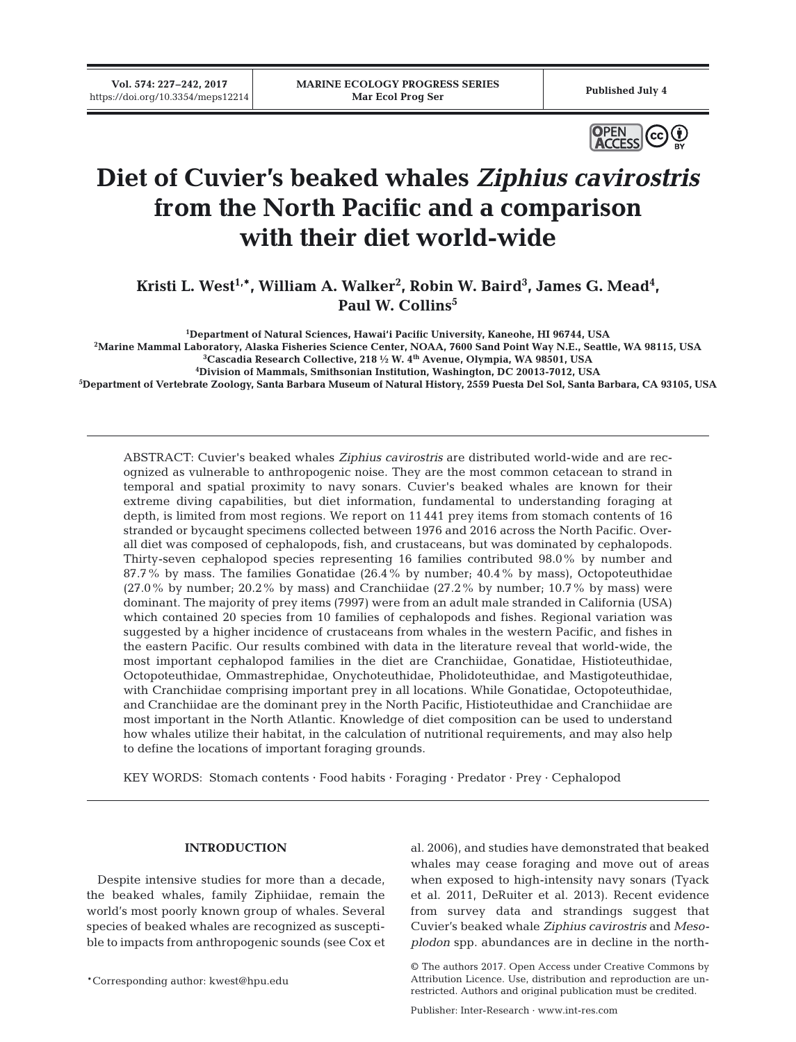

# **Diet of Cuvier's beaked whales** *Ziphius cavirostris* **from the North Pacific and a comparison with their diet world-wide**

Kristi L. West<sup>1,\*</sup>, William A. Walker<sup>2</sup>, Robin W. Baird<sup>3</sup>, James G. Mead<sup>4</sup>, Paul W. Collins<sup>5</sup>

**1 Department of Natural Sciences, Hawai'i Pacific University, Kaneohe, HI 96744, USA**

**2 Marine Mammal Laboratory, Alaska Fisheries Science Center, NOAA, 7600 Sand Point Way N.E., Seattle, WA 98115, USA**

 $^3$ Cascadia Research Collective, 218 ½ W. 4<sup>th</sup> Avenue, Olympia, WA 98501, USA **4 Division of Mammals, Smithsonian Institution, Washington, DC 20013-7012, USA**

**5 Department of Vertebrate Zoology, Santa Barbara Museum of Natural History, 2559 Puesta Del Sol, Santa Barbara, CA 93105, USA**

ABSTRACT: Cuvier's beaked whales *Ziphius cavirostris* are distributed world-wide and are recognized as vulnerable to anthropogenic noise. They are the most common cetacean to strand in temporal and spatial proximity to navy sonars. Cuvier's beaked whales are known for their extreme diving capabilities, but diet information, fundamental to understanding foraging at depth, is limited from most regions. We report on 11 441 prey items from stomach contents of 16 stranded or bycaught specimens collected between 1976 and 2016 across the North Pacific. Overall diet was composed of cephalopods, fish, and crustaceans, but was dominated by cephalopods. Thirty-seven cephalopod species representing 16 families contributed 98.0% by number and 87.7% by mass. The families Gonatidae (26.4% by number; 40.4% by mass), Octopoteuthidae (27.0% by number; 20.2% by mass) and Cranchiidae (27.2% by number; 10.7% by mass) were dominant. The majority of prey items (7997) were from an adult male stranded in California (USA) which contained 20 species from 10 families of cephalopods and fishes. Regional variation was suggested by a higher incidence of crustaceans from whales in the western Pacific, and fishes in the eastern Pacific. Our results combined with data in the literature reveal that world-wide, the most important cephalopod families in the diet are Cranchiidae, Gonatidae, Histioteuthidae, Octopoteuthidae, Ommastrephidae, Onychoteuthidae, Pholidoteuthidae, and Mastigoteuthidae, with Cranchiidae comprising important prey in all locations. While Gonatidae, Octopoteuthidae, and Cranchiidae are the dominant prey in the North Pacific, Histioteuthidae and Cranchiidae are most important in the North Atlantic. Knowledge of diet composition can be used to understand how whales utilize their habitat, in the calculation of nutritional requirements, and may also help to define the locations of important foraging grounds.

KEY WORDS: Stomach contents · Food habits · Foraging · Predator · Prey · Cephalopod

## **INTRODUCTION**

Despite intensive studies for more than a decade, the beaked whales, family Ziphiidae, remain the world's most poorly known group of whales. Several species of beaked whales are recognized as susceptible to impacts from anthropogenic sounds (see Cox et

\*Corresponding author: kwest@hpu.edu

al. 2006), and studies have demonstrated that beaked whales may cease foraging and move out of areas when exposed to high-intensity navy sonars (Tyack et al. 2011, DeRuiter et al. 2013). Recent evidence from survey data and strandings suggest that Cuvier's beaked whale *Ziphius cavirostris* and *Mesoplodon* spp. abundances are in decline in the north-

Publisher: Inter-Research · www.int-res.com

<sup>©</sup> The authors 2017. Open Access under Creative Commons by Attribution Licence. Use, distribution and reproduction are unrestricted. Authors and original publication must be credited.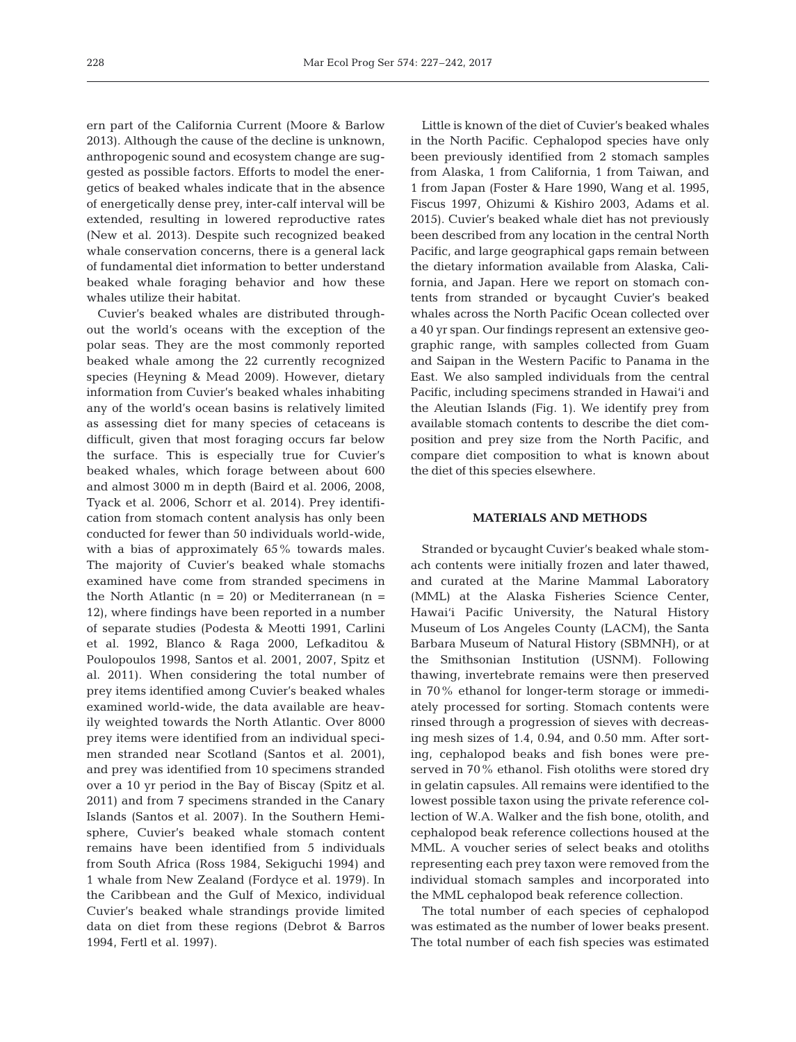ern part of the California Current (Moore & Barlow 2013). Although the cause of the decline is unknown, anthropogenic sound and ecosystem change are suggested as possible factors. Efforts to model the energetics of beaked whales indicate that in the absence of energetically dense prey, inter-calf interval will be extended, resulting in lowered reproductive rates (New et al. 2013). Despite such recognized beaked whale conservation concerns, there is a general lack of fundamental diet information to better understand beaked whale foraging behavior and how these whales utilize their habitat.

Cuvier's beaked whales are distributed throughout the world's oceans with the exception of the polar seas. They are the most commonly reported beaked whale among the 22 currently recognized species (Heyning & Mead 2009). However, dietary information from Cuvier's beaked whales inhabiting any of the world's ocean basins is relatively limited as assessing diet for many species of cetaceans is difficult, given that most foraging occurs far below the surface. This is especially true for Cuvier's beaked whales, which forage between about 600 and almost 3000 m in depth (Baird et al. 2006, 2008, Tyack et al. 2006, Schorr et al. 2014). Prey identification from stomach content analysis has only been conducted for fewer than 50 individuals world-wide, with a bias of approximately 65% towards males. The majority of Cuvier's beaked whale stomachs examined have come from stranded specimens in the North Atlantic  $(n = 20)$  or Mediterranean  $(n = 10)$ 12), where findings have been reported in a number of separate studies (Podesta & Meotti 1991, Carlini et al. 1992, Blanco & Raga 2000, Lefkaditou & Poulopoulos 1998, Santos et al. 2001, 2007, Spitz et al. 2011). When considering the total number of prey items identified among Cuvier's beaked whales examined world-wide, the data available are heavily weighted towards the North Atlantic. Over 8000 prey items were identified from an individual specimen stranded near Scotland (Santos et al. 2001), and prey was identified from 10 specimens stranded over a 10 yr period in the Bay of Biscay (Spitz et al. 2011) and from 7 specimens stranded in the Canary Islands (Santos et al. 2007). In the Southern Hemisphere, Cuvier's beaked whale stomach content remains have been identified from 5 individuals from South Africa (Ross 1984, Sekiguchi 1994) and 1 whale from New Zealand (Fordyce et al. 1979). In the Caribbean and the Gulf of Mexico, individual Cuvier's beaked whale strandings provide limited data on diet from these regions (Debrot & Barros 1994, Fertl et al. 1997).

Little is known of the diet of Cuvier's beaked whales in the North Pacific. Cephalopod species have only been previously identified from 2 stomach samples from Alaska, 1 from California, 1 from Taiwan, and 1 from Japan (Foster & Hare 1990, Wang et al. 1995, Fiscus 1997, Ohizumi & Kishiro 2003, Adams et al. 2015). Cuvier's beaked whale diet has not previously been described from any location in the central North Pacific, and large geographical gaps remain between the dietary information available from Alaska, California, and Japan. Here we report on stomach contents from stranded or bycaught Cuvier's beaked whales across the North Pacific Ocean collected over a 40 yr span. Our findings represent an extensive geographic range, with samples collected from Guam and Saipan in the Western Pacific to Panama in the East. We also sampled individuals from the central Pacific, including specimens stranded in Hawai'i and the Aleutian Islands (Fig. 1). We identify prey from available stomach contents to describe the diet composition and prey size from the North Pacific, and compare diet composition to what is known about the diet of this species elsewhere.

## **MATERIALS AND METHODS**

Stranded or bycaught Cuvier's beaked whale stomach contents were initially frozen and later thawed, and curated at the Marine Mammal Laboratory (MML) at the Alaska Fisheries Science Center, Hawai'i Pacific University, the Natural History Museum of Los Angeles County (LACM), the Santa Barbara Museum of Natural History (SBMNH), or at the Smithsonian Institution (USNM). Following thawing, invertebrate remains were then preserved in 70% ethanol for longer-term storage or immediately processed for sorting. Stomach contents were rinsed through a progression of sieves with decreasing mesh sizes of 1.4, 0.94, and 0.50 mm. After sorting, cephalopod beaks and fish bones were preserved in 70% ethanol. Fish otoliths were stored dry in gelatin capsules. All remains were identified to the lowest possible taxon using the private reference collection of W.A. Walker and the fish bone, otolith, and cephalopod beak reference collections housed at the MML. A voucher series of select beaks and otoliths representing each prey taxon were removed from the individual stomach samples and incorporated into the MML cephalopod beak reference collection.

The total number of each species of cephalopod was estimated as the number of lower beaks present. The total number of each fish species was estimated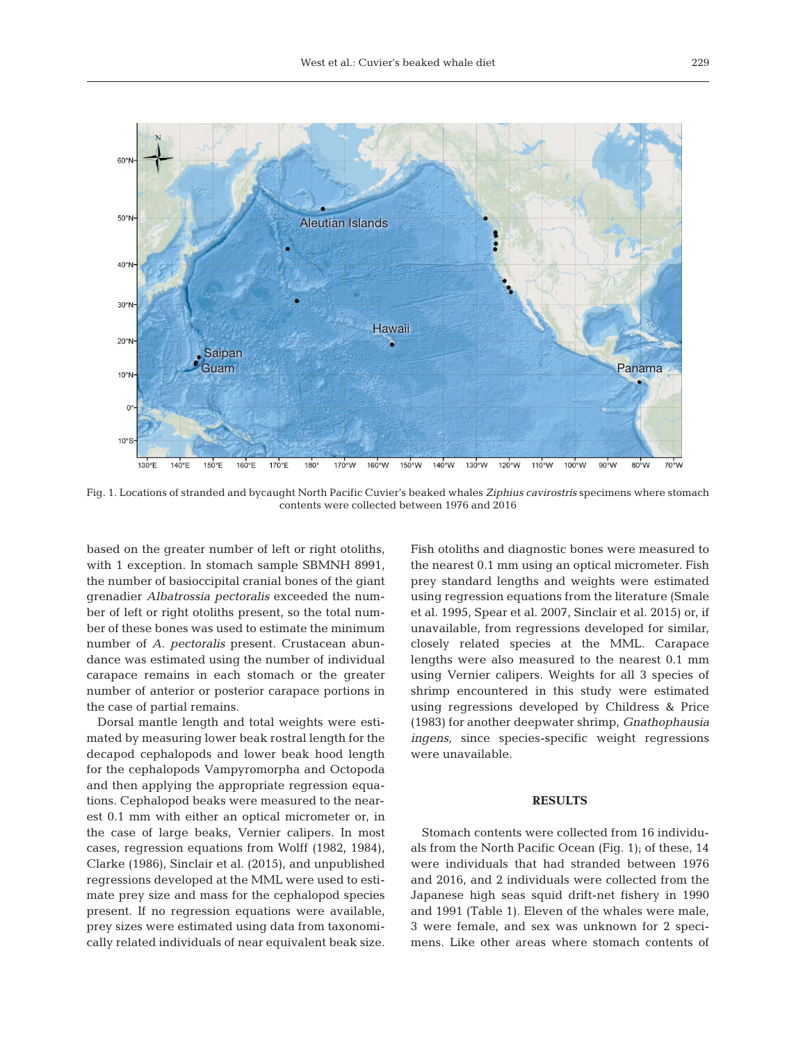

Fig. 1. Locations of stranded and bycaught North Pacific Cuvier's beaked whales *Ziphius cavirostris* specimens where stomach contents were collected between 1976 and 2016

based on the greater number of left or right otoliths, with 1 exception. In stomach sample SBMNH 8991, the number of basioccipital cranial bones of the giant grenadier *Albatrossia pectoralis* exceeded the number of left or right otoliths present, so the total number of these bones was used to estimate the minimum number of *A. pectoralis* present. Crustacean abundance was estimated using the number of individual carapace remains in each stomach or the greater number of anterior or posterior carapace portions in the case of partial remains.

Dorsal mantle length and total weights were estimated by measuring lower beak rostral length for the decapod cephalopods and lower beak hood length for the cephalopods Vampyromorpha and Octopoda and then applying the appropriate regression equations. Cephalopod beaks were measured to the nearest 0.1 mm with either an optical micrometer or, in the case of large beaks, Vernier calipers. In most cases, regression equations from Wolff (1982, 1984), Clarke (1986), Sinclair et al. (2015), and unpublished regressions developed at the MML were used to estimate prey size and mass for the cephalopod species present. If no regression equations were available, prey sizes were estimated using data from taxonomically related individuals of near equivalent beak size.

Fish otoliths and diagnostic bones were measured to the nearest 0.1 mm using an optical micrometer. Fish prey standard lengths and weights were estimated using regression equations from the literature (Smale et al. 1995, Spear et al. 2007, Sinclair et al. 2015) or, if unavailable, from regressions developed for similar, closely related species at the MML. Carapace lengths were also measured to the nearest 0.1 mm using Vernier calipers. Weights for all 3 species of shrimp encountered in this study were estimated using regressions developed by Childress & Price (1983) for another deepwater shrimp, *Gnathophausia ingens,* since species-specific weight regressions were unavailable.

## **RESULTS**

Stomach contents were collected from 16 individuals from the North Pacific Ocean (Fig. 1); of these, 14 were individuals that had stranded between 1976 and 2016, and 2 individuals were collected from the Japanese high seas squid drift-net fishery in 1990 and 1991 (Table 1). Eleven of the whales were male, 3 were female, and sex was unknown for 2 specimens. Like other areas where stomach contents of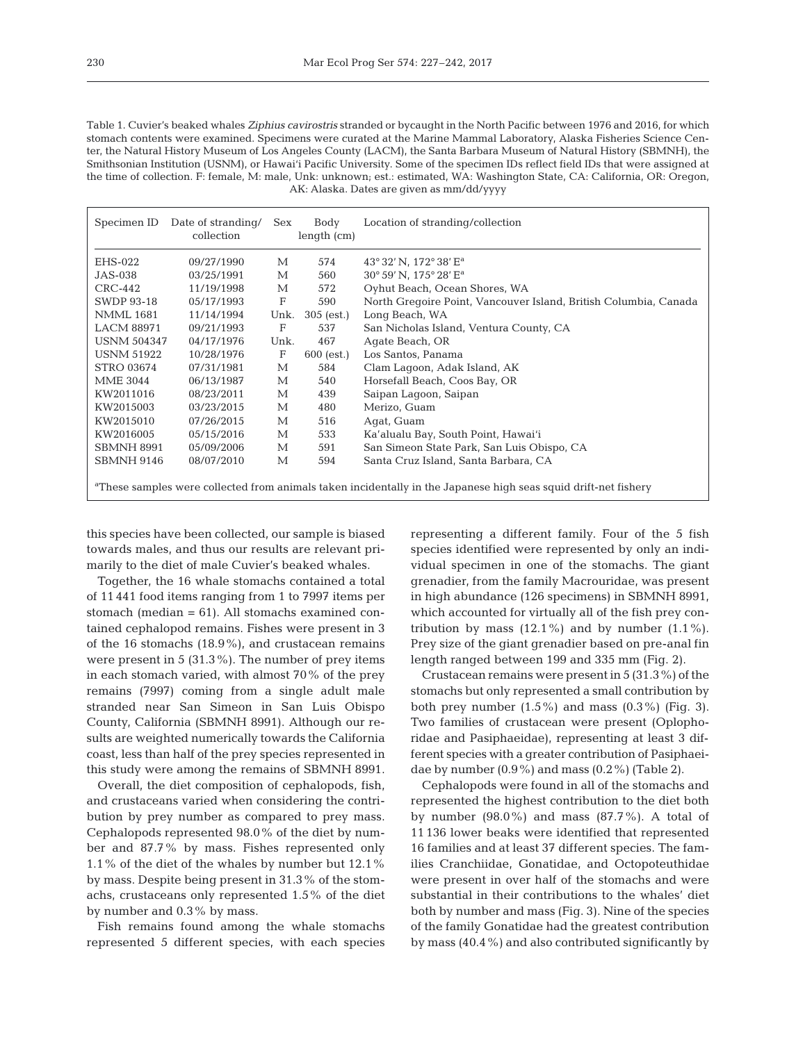Table 1. Cuvier's beaked whales *Ziphius cavirostris* stranded or bycaught in the North Pacific between 1976 and 2016, for which stomach contents were examined. Specimens were curated at the Marine Mammal Laboratory, Alaska Fisheries Science Center, the Natural History Museum of Los Angeles County (LACM), the Santa Barbara Museum of Natural History (SBMNH), the Smithsonian Institution (USNM), or Hawai'i Pacific University. Some of the specimen IDs reflect field IDs that were assigned at the time of collection. F: female, M: male, Unk: unknown; est.: estimated, WA: Washington State, CA: California, OR: Oregon, AK: Alaska. Dates are given as mm/dd/yyyy

| Specimen ID                                                                                                                 | Date of stranding/<br>collection | Sex         | Body<br>length (cm) | Location of stranding/collection                                 |  |  |  |
|-----------------------------------------------------------------------------------------------------------------------------|----------------------------------|-------------|---------------------|------------------------------------------------------------------|--|--|--|
| EHS-022                                                                                                                     | 09/27/1990                       | М           | 574                 | 43° 32' N, 172° 38' E <sup>a</sup>                               |  |  |  |
| <b>JAS-038</b>                                                                                                              | 03/25/1991                       | М           | 560                 | 30° 59' N, 175° 28' E <sup>a</sup>                               |  |  |  |
| $CRC-442$                                                                                                                   | 11/19/1998                       | М           | 572                 | Oyhut Beach, Ocean Shores, WA                                    |  |  |  |
| <b>SWDP 93-18</b>                                                                                                           | 05/17/1993                       | F           | 590                 | North Gregoire Point, Vancouver Island, British Columbia, Canada |  |  |  |
| <b>NMML</b> 1681                                                                                                            | 11/14/1994                       | Unk.        | $305$ (est.)        | Long Beach, WA                                                   |  |  |  |
| <b>LACM 88971</b>                                                                                                           | 09/21/1993                       | $\mathbf F$ | 537                 | San Nicholas Island, Ventura County, CA                          |  |  |  |
| <b>USNM 504347</b>                                                                                                          | 04/17/1976                       | Unk.        | 467                 | Agate Beach, OR                                                  |  |  |  |
| <b>USNM 51922</b>                                                                                                           | 10/28/1976                       | F           | $600$ (est.)        | Los Santos, Panama                                               |  |  |  |
| <b>STRO 03674</b>                                                                                                           | 07/31/1981                       | M           | 584                 | Clam Lagoon, Adak Island, AK                                     |  |  |  |
| <b>MME 3044</b>                                                                                                             | 06/13/1987                       | М           | 540                 | Horsefall Beach, Coos Bay, OR                                    |  |  |  |
| KW2011016                                                                                                                   | 08/23/2011                       | М           | 439                 | Saipan Lagoon, Saipan                                            |  |  |  |
| KW2015003                                                                                                                   | 03/23/2015                       | М           | 480                 | Merizo, Guam                                                     |  |  |  |
| KW2015010                                                                                                                   | 07/26/2015                       | М           | 516                 | Agat, Guam                                                       |  |  |  |
| KW2016005                                                                                                                   | 05/15/2016                       | М           | 533                 | Ka'alualu Bay, South Point, Hawai'i                              |  |  |  |
| SBMNH 8991                                                                                                                  | 05/09/2006                       | М           | 591                 | San Simeon State Park, San Luis Obispo, CA                       |  |  |  |
| <b>SBMNH 9146</b>                                                                                                           | 08/07/2010                       | М           | 594                 | Santa Cruz Island, Santa Barbara, CA                             |  |  |  |
| <sup>a</sup> These samples were collected from animals taken incidentally in the Japanese high seas squid drift-net fishery |                                  |             |                     |                                                                  |  |  |  |

this species have been collected, our sample is biased towards males, and thus our results are relevant primarily to the diet of male Cuvier's beaked whales.

Together, the 16 whale stomachs contained a total of 11 441 food items ranging from 1 to 7997 items per stomach (median = 61). All stomachs examined contained cephalopod remains. Fishes were present in 3 of the 16 stomachs  $(18.9\%)$ , and crustacean remains were present in 5 (31.3%). The number of prey items in each stomach varied, with almost 70% of the prey remains (7997) coming from a single adult male stranded near San Simeon in San Luis Obispo County, California (SBMNH 8991). Although our re sults are weighted numerically towards the California coast, less than half of the prey species represented in this study were among the remains of SBMNH 8991.

Overall, the diet composition of cephalopods, fish, and crustaceans varied when considering the contribution by prey number as compared to prey mass. Cephalopods represented 98.0% of the diet by number and 87.7% by mass. Fishes represented only 1.1% of the diet of the whales by number but 12.1% by mass. Despite being present in 31.3% of the stomachs, crustaceans only represented 1.5% of the diet by number and 0.3% by mass.

Fish remains found among the whale stomachs represented 5 different species, with each species

representing a different family. Four of the 5 fish species identified were represented by only an individual specimen in one of the stomachs. The giant grena dier, from the family Macrouridae, was present in high abundance (126 specimens) in SBMNH 8991, which accounted for virtually all of the fish prey contribution by mass  $(12.1\%)$  and by number  $(1.1\%)$ . Prey size of the giant grenadier based on pre-anal fin length ranged between 199 and 335 mm (Fig. 2).

Crustacean remains were present in 5 (31.3%) of the stomachs but only represented a small contribution by both prey number  $(1.5\%)$  and mass  $(0.3\%)$  (Fig. 3). Two families of crustacean were present (Oplophoridae and Pasiphaeidae), representing at least 3 different species with a greater contribution of Pasiphaeidae by number (0.9%) and mass (0.2%) (Table 2).

Cephalopods were found in all of the stomachs and represented the highest contribution to the diet both by number  $(98.0\%)$  and mass  $(87.7\%)$ . A total of 11 136 lower beaks were identified that represented 16 families and at least 37 different species. The families Cranchiidae, Gonatidae, and Octopoteuthidae were present in over half of the stomachs and were substantial in their contributions to the whales' diet both by number and mass (Fig. 3). Nine of the species of the family Gonatidae had the greatest contribution by mass (40.4%) and also contributed significantly by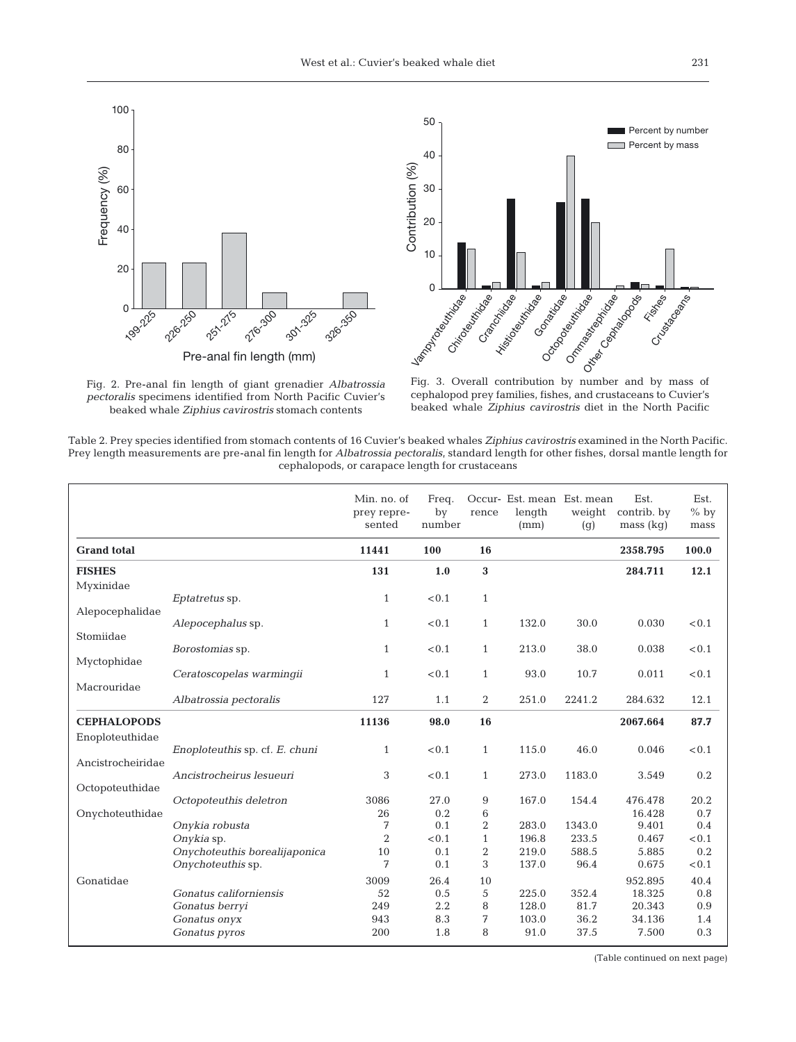





Fig. 3. Overall contribution by number and by mass of cephalopod prey families, fishes, and crustaceans to Cuvier's beaked whale *Ziphius cavirostris* diet in the North Pacific

Table 2. Prey species identified from stomach contents of 16 Cuvier's beaked whales *Ziphius cavirostris* examined in the North Pacific. Prey length measurements are pre-anal fin length for *Albatrossia pectoralis*, standard length for other fishes, dorsal mantle length for cephalopods, or carapace length for crustaceans

|                    |                                | Min. no. of<br>prey repre-<br>sented | Freq.<br>by<br>number | rence          | Occur- Est. mean Est. mean<br>length<br>(mm) | weight<br>(g) | Est.<br>contrib. by<br>mass (kg) | Est.<br>$%$ by<br>mass |
|--------------------|--------------------------------|--------------------------------------|-----------------------|----------------|----------------------------------------------|---------------|----------------------------------|------------------------|
| <b>Grand</b> total |                                | 11441                                | 100                   | 16             |                                              |               | 2358.795                         | 100.0                  |
| <b>FISHES</b>      |                                | 131                                  | 1.0                   | 3              |                                              |               | 284.711                          | 12.1                   |
| Myxinidae          |                                |                                      | < 0.1                 |                |                                              |               |                                  |                        |
| Alepocephalidae    | Eptatretus sp.                 | $\mathbf{1}$                         |                       | $\mathbf{1}$   |                                              |               |                                  |                        |
|                    | Alepocephalus sp.              | $\mathbf{1}$                         | < 0.1                 | $\mathbf{1}$   | 132.0                                        | 30.0          | 0.030                            | < 0.1                  |
| Stomiidae          |                                |                                      |                       |                |                                              |               |                                  |                        |
| Myctophidae        | Borostomias sp.                | $\mathbf{1}$                         | < 0.1                 | $\mathbf{1}$   | 213.0                                        | 38.0          | 0.038                            | < 0.1                  |
|                    | Ceratoscopelas warmingii       | $\mathbf{1}$                         | < 0.1                 | $\mathbf{1}$   | 93.0                                         | 10.7          | 0.011                            | < 0.1                  |
| Macrouridae        |                                |                                      |                       |                |                                              |               |                                  |                        |
|                    | Albatrossia pectoralis         | 127                                  | 1.1                   | 2              | 251.0                                        | 2241.2        | 284.632                          | 12.1                   |
| <b>CEPHALOPODS</b> |                                | 11136                                | 98.0                  | 16             |                                              |               | 2067.664                         | 87.7                   |
| Enoploteuthidae    |                                |                                      |                       |                |                                              |               |                                  |                        |
|                    | Enoploteuthis sp. cf. E. chuni | $\mathbf{1}$                         | < 0.1                 | $\mathbf{1}$   | 115.0                                        | 46.0          | 0.046                            | < 0.1                  |
| Ancistrocheiridae  | Ancistrocheirus lesueuri       | 3                                    | < 0.1                 | $\mathbf{1}$   | 273.0                                        | 1183.0        | 3.549                            | 0.2                    |
| Octopoteuthidae    |                                |                                      |                       |                |                                              |               |                                  |                        |
|                    | Octopoteuthis deletron         | 3086                                 | 27.0                  | 9              | 167.0                                        | 154.4         | 476.478                          | 20.2                   |
| Onychoteuthidae    |                                | 26                                   | 0.2                   | 6              |                                              |               | 16.428                           | 0.7                    |
|                    | Onykia robusta                 | 7                                    | 0.1                   | $\overline{2}$ | 283.0                                        | 1343.0        | 9.401                            | 0.4                    |
|                    | Onykia sp.                     | $\overline{2}$                       | < 0.1                 | $\mathbf{1}$   | 196.8                                        | 233.5         | 0.467                            | < 0.1                  |
|                    | Onychoteuthis borealijaponica  | 10                                   | 0.1                   | $\overline{2}$ | 219.0                                        | 588.5         | 5.885                            | 0.2                    |
|                    | Onychoteuthis sp.              | 7                                    | 0.1                   | 3              | 137.0                                        | 96.4          | 0.675                            | < 0.1                  |
| Gonatidae          |                                | 3009                                 | 26.4                  | 10             |                                              |               | 952.895                          | 40.4                   |
|                    | Gonatus californiensis         | 52                                   | 0.5                   | 5              | 225.0                                        | 352.4         | 18.325                           | 0.8                    |
|                    | Gonatus berryi                 | 249                                  | 2.2                   | 8              | 128.0                                        | 81.7          | 20.343                           | 0.9                    |
|                    | Gonatus onyx                   | 943                                  | 8.3                   | 7              | 103.0                                        | 36.2          | 34.136                           | 1.4                    |
|                    | Gonatus pyros                  | 200                                  | 1.8                   | 8              | 91.0                                         | 37.5          | 7.500                            | 0.3                    |

(Table continued on next page)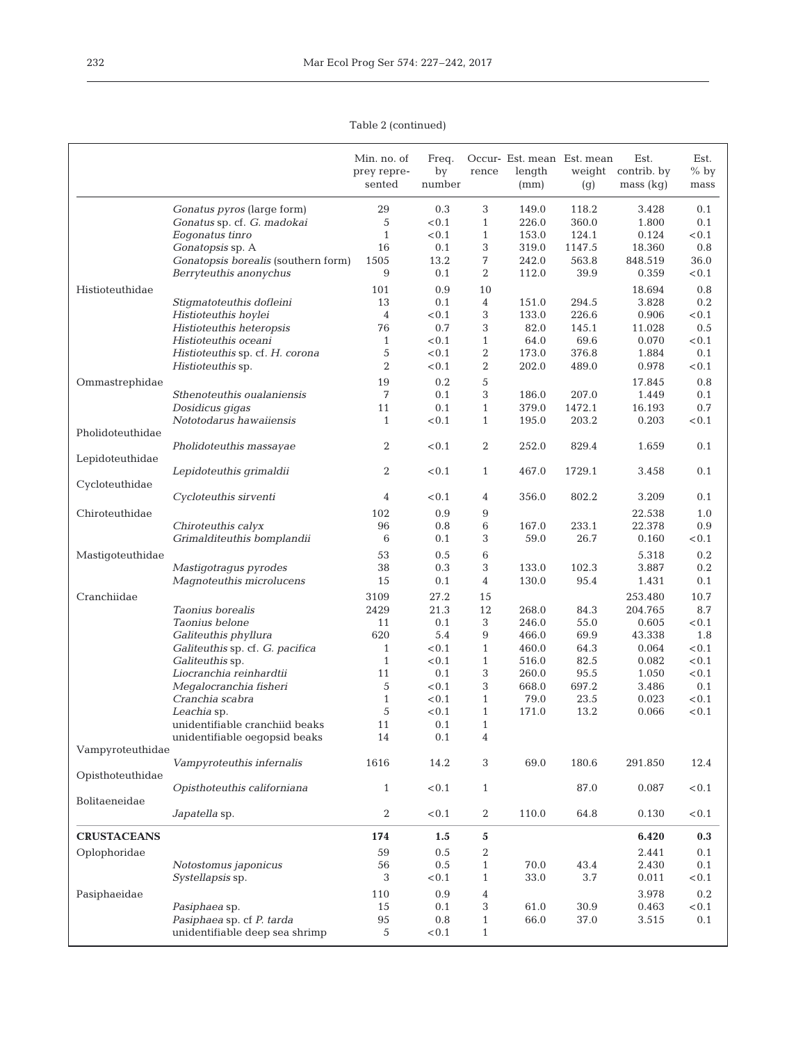Table 2 (continued)

|                    |                                     | Min. no. of<br>prey repre- | Freq.<br>by | rence          | Occur- Est. mean Est. mean<br>length | weight | Est.<br>contrib. by | Est.<br>$%$ by |
|--------------------|-------------------------------------|----------------------------|-------------|----------------|--------------------------------------|--------|---------------------|----------------|
|                    |                                     | sented                     | number      |                | (mm)                                 | (g)    | mass (kg)           | mass           |
|                    | Gonatus pyros (large form)          | 29                         | 0.3         | 3              | 149.0                                | 118.2  | 3.428               | 0.1            |
|                    | Gonatus sp. cf. G. madokai          | 5                          | < 0.1       | $\mathbf{1}$   | 226.0                                | 360.0  | 1.800               | 0.1            |
|                    | Eogonatus tinro                     | $\mathbf{1}$               | < 0.1       | $\mathbf{1}$   | 153.0                                | 124.1  | 0.124               | < 0.1          |
|                    | Gonatopsis sp. A                    | 16                         | 0.1         | 3              | 319.0                                | 1147.5 | 18.360              | 0.8            |
|                    | Gonatopsis borealis (southern form) | 1505                       | 13.2        | 7              | 242.0                                | 563.8  | 848.519             | 36.0           |
|                    | Berryteuthis anonychus              | 9                          | 0.1         | $\overline{2}$ | 112.0                                | 39.9   | 0.359               | < 0.1          |
| Histioteuthidae    |                                     | 101                        | 0.9         | 10             |                                      |        | 18.694              | 0.8            |
|                    | Stigmatoteuthis dofleini            | 13                         | 0.1         | 4              | 151.0                                | 294.5  | 3.828               | 0.2            |
|                    | Histioteuthis hoylei                | $\overline{4}$             | < 0.1       | 3              | 133.0                                | 226.6  | 0.906               | < 0.1          |
|                    | Histioteuthis heteropsis            | 76                         | 0.7         | 3              | 82.0                                 | 145.1  | 11.028              | 0.5            |
|                    | Histioteuthis oceani                | $\mathbf{1}$               | < 0.1       | $\mathbf{1}$   | 64.0                                 | 69.6   | 0.070               | < 0.1          |
|                    | Histioteuthis sp. cf. H. corona     | 5                          | < 0.1       | 2              | 173.0                                | 376.8  | 1.884               | 0.1            |
|                    | Histioteuthis sp.                   | $\overline{2}$             | < 0.1       | 2              | 202.0                                | 489.0  | 0.978               | < 0.1          |
| Ommastrephidae     |                                     | 19                         | 0.2         | 5              |                                      |        | 17.845              | 0.8            |
|                    | Sthenoteuthis oualaniensis          | 7                          | 0.1         | 3              | 186.0                                | 207.0  | 1.449               | 0.1            |
|                    | Dosidicus gigas                     | 11                         | 0.1         | $\mathbf{1}$   | 379.0                                | 1472.1 | 16.193              | 0.7            |
|                    | Nototodarus hawaiiensis             | $\mathbf{1}$               | < 0.1       | $\mathbf{1}$   | 195.0                                | 203.2  | 0.203               | < 0.1          |
| Pholidoteuthidae   |                                     |                            |             |                |                                      |        |                     |                |
| Lepidoteuthidae    | Pholidoteuthis massayae             | 2                          | < 0.1       | $\overline{2}$ | 252.0                                | 829.4  | 1.659               | 0.1            |
| Cycloteuthidae     | Lepidoteuthis grimaldii             | 2                          | < 0.1       | $\mathbf{1}$   | 467.0                                | 1729.1 | 3.458               | 0.1            |
|                    | Cycloteuthis sirventi               | 4                          | < 0.1       | 4              | 356.0                                | 802.2  | 3.209               | 0.1            |
| Chiroteuthidae     |                                     | 102                        | 0.9         | 9              |                                      |        | 22.538              | 1.0            |
|                    | Chiroteuthis calyx                  | 96                         | 0.8         | 6              | 167.0                                | 233.1  | 22.378              | 0.9            |
|                    | Grimalditeuthis bomplandii          | 6                          | 0.1         | 3              | 59.0                                 | 26.7   | 0.160               | < 0.1          |
| Mastigoteuthidae   |                                     | 53                         | 0.5         | 6              |                                      |        | 5.318               | 0.2            |
|                    | Mastigotragus pyrodes               | 38                         | 0.3         | 3              | 133.0                                | 102.3  | 3.887               | 0.2            |
|                    | Magnoteuthis microlucens            | 15                         | 0.1         | $\overline{4}$ | 130.0                                | 95.4   | 1.431               | 0.1            |
| Cranchiidae        |                                     | 3109                       | 27.2        | 15             |                                      |        | 253.480             | 10.7           |
|                    | Taonius borealis                    | 2429                       | 21.3        | 12             | 268.0                                | 84.3   | 204.765             | 8.7            |
|                    | Taonius belone                      | 11                         | 0.1         | 3              | 246.0                                | 55.0   | 0.605               | < 0.1          |
|                    | Galiteuthis phyllura                | 620                        | 5.4         | 9              | 466.0                                | 69.9   | 43.338              | 1.8            |
|                    | Galiteuthis sp. cf. G. pacifica     | $\mathbf{1}$               | < 0.1       | $\mathbf{1}$   | 460.0                                | 64.3   | 0.064               | < 0.1          |
|                    | Galiteuthis sp.                     | $\mathbf{1}$               | < 0.1       | $\mathbf{1}$   | 516.0                                | 82.5   | 0.082               | < 0.1          |
|                    | Liocranchia reinhardtii             | 11                         | 0.1         | 3              | 260.0                                | 95.5   | 1.050               | < 0.1          |
|                    | Megalocranchia fisheri              | 5                          | < 0.1       | 3              | 668.0                                | 697.2  | 3.486               | 0.1            |
|                    | Cranchia scabra                     | $\mathbf{1}$               | < 0.1       | $\mathbf{1}$   | 79.0                                 | 23.5   | 0.023               | < 0.1          |
|                    | Leachia sp.                         | 5                          | < 0.1       | $\mathbf{1}$   | 171.0                                | 13.2   | 0.066               | < 0.1          |
|                    | unidentifiable cranchiid beaks      | 11                         | 0.1         | $\mathbf{1}$   |                                      |        |                     |                |
|                    | unidentifiable oegopsid beaks       | 14                         | 0.1         | 4              |                                      |        |                     |                |
| Vampyroteuthidae   |                                     |                            |             |                |                                      |        |                     |                |
| Opisthoteuthidae   | Vampyroteuthis infernalis           | 1616                       | 14.2        | 3              | 69.0                                 | 180.6  | 291.850             | 12.4           |
| Bolitaeneidae      | Opisthoteuthis californiana         | $\mathbf{1}$               | < 0.1       | $\mathbf{1}$   |                                      | 87.0   | 0.087               | < 0.1          |
|                    | Japatella sp.                       | $\boldsymbol{2}$           | $<\!0.1$    | $\overline{2}$ | 110.0                                | 64.8   | 0.130               | < 0.1          |
| <b>CRUSTACEANS</b> |                                     | 174                        | 1.5         | 5              |                                      |        | 6.420               | 0.3            |
| Oplophoridae       |                                     | 59                         | 0.5         | 2              |                                      |        | 2.441               | 0.1            |
|                    | Notostomus japonicus                | 56                         | 0.5         | $\mathbf{1}$   | 70.0                                 | 43.4   | 2.430               | 0.1            |
|                    | Systellapsis sp.                    | 3                          | < 0.1       | $\mathbf{1}$   | 33.0                                 | 3.7    | 0.011               | < 0.1          |
| Pasiphaeidae       |                                     | 110                        | 0.9         | 4              |                                      |        | 3.978               | 0.2            |
|                    | Pasiphaea sp.                       | 15                         | 0.1         | 3              | 61.0                                 | 30.9   | 0.463               | < 0.1          |
|                    | Pasiphaea sp. cf P. tarda           | 95                         | 0.8         | $\mathbf{1}$   | 66.0                                 | 37.0   | 3.515               | 0.1            |
|                    | unidentifiable deep sea shrimp      | 5                          | < 0.1       | $\mathbf{1}$   |                                      |        |                     |                |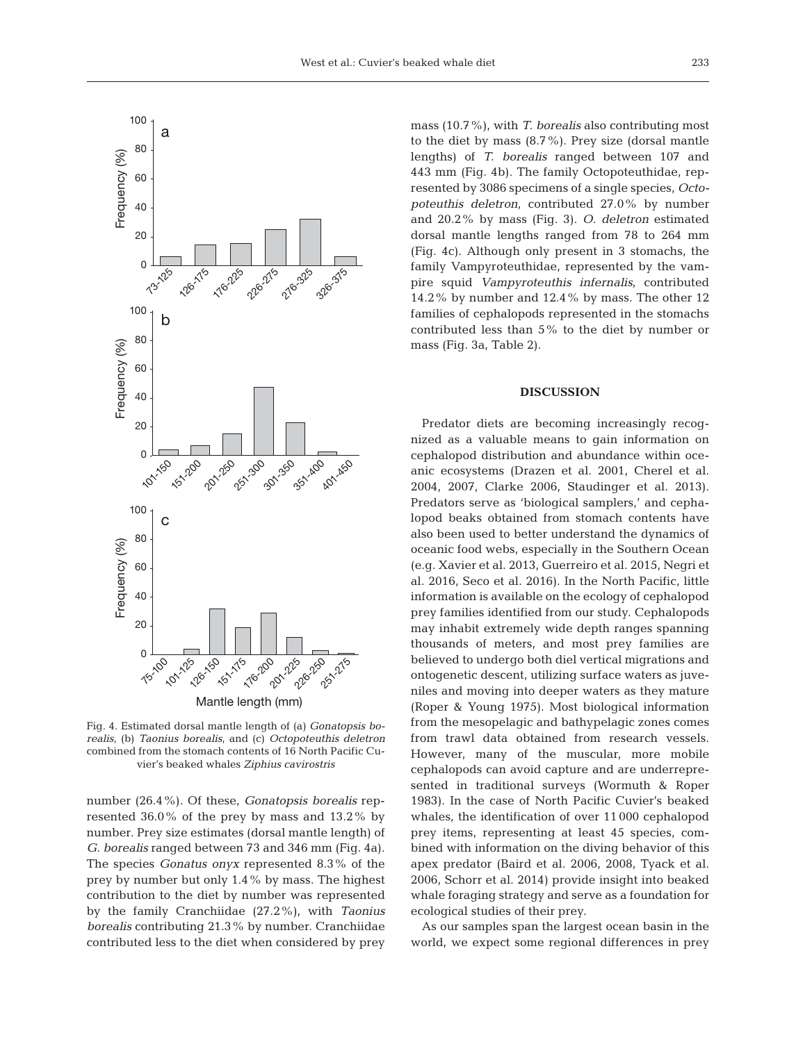

Fig. 4. Estimated dorsal mantle length of (a) *Gonatopsis borealis*, (b) *Taonius borealis*, and (c) *Octopoteuthis deletron* combined from the stomach contents of 16 North Pacific Cuvier's beaked whales *Ziphius cavirostris*

number (26.4%). Of these, *Gonatopsis borealis* represented 36.0% of the prey by mass and 13.2% by number. Prey size estimates (dorsal mantle length) of *G. borealis* ranged between 73 and 346 mm (Fig. 4a). The species *Gonatus onyx* represented 8.3% of the prey by number but only 1.4% by mass. The highest contribution to the diet by number was represented by the family Cranchiidae (27.2%), with *Taonius borealis* contributing 21.3% by number. Cranchiidae contributed less to the diet when considered by prey

mass (10.7%), with *T. borealis* also contributing most to the diet by mass (8.7%). Prey size (dorsal mantle lengths) of *T. borealis* ranged between 107 and 443 mm (Fig. 4b). The family Octopoteuthidae, represented by 3086 specimens of a single species, *Octo po teuthis deletron*, contributed 27.0% by number and 20.2% by mass (Fig. 3). *O. deletron* estimated dorsal mantle lengths ranged from 78 to 264 mm (Fig. 4c). Although only present in 3 stomachs, the family Vampyroteuthidae, represented by the vampire squid *Vampyroteuthis infernalis*, contributed 14.2% by number and 12.4% by mass. The other 12 families of cephalopods represented in the stomachs contributed less than 5% to the diet by number or mass (Fig. 3a, Table 2).

## **DISCUSSION**

Predator diets are becoming increasingly recognized as a valuable means to gain information on cephalopod distribution and abundance within oce anic ecosystems (Drazen et al. 2001, Cherel et al. 2004, 2007, Clarke 2006, Staudinger et al. 2013). Predators serve as 'biological samplers,' and cepha lopod beaks obtained from stomach contents have also been used to better understand the dynamics of oceanic food webs, especially in the Southern Ocean (e.g. Xavier et al. 2013, Guerreiro et al. 2015, Negri et al. 2016, Seco et al. 2016). In the North Pacific, little information is available on the ecology of cephalopod prey families identified from our study. Cephalopods may inhabit extremely wide depth ranges spanning thousands of meters, and most prey families are believed to undergo both diel vertical migrations and ontogenetic descent, utilizing surface waters as juveniles and moving into deeper waters as they mature (Roper & Young 1975). Most biological information from the mesopelagic and bathypelagic zones comes from trawl data obtained from research vessels. However, many of the muscular, more mobile cephalopods can avoid capture and are underrepresented in traditional surveys (Wormuth & Roper 1983). In the case of North Pacific Cuvier's beaked whales, the identification of over 11 000 cephalopod prey items, representing at least 45 species, combined with information on the diving behavior of this apex predator (Baird et al. 2006, 2008, Tyack et al. 2006, Schorr et al. 2014) provide insight into beaked whale foraging strategy and serve as a foundation for ecological studies of their prey.

As our samples span the largest ocean basin in the world, we expect some regional differences in prey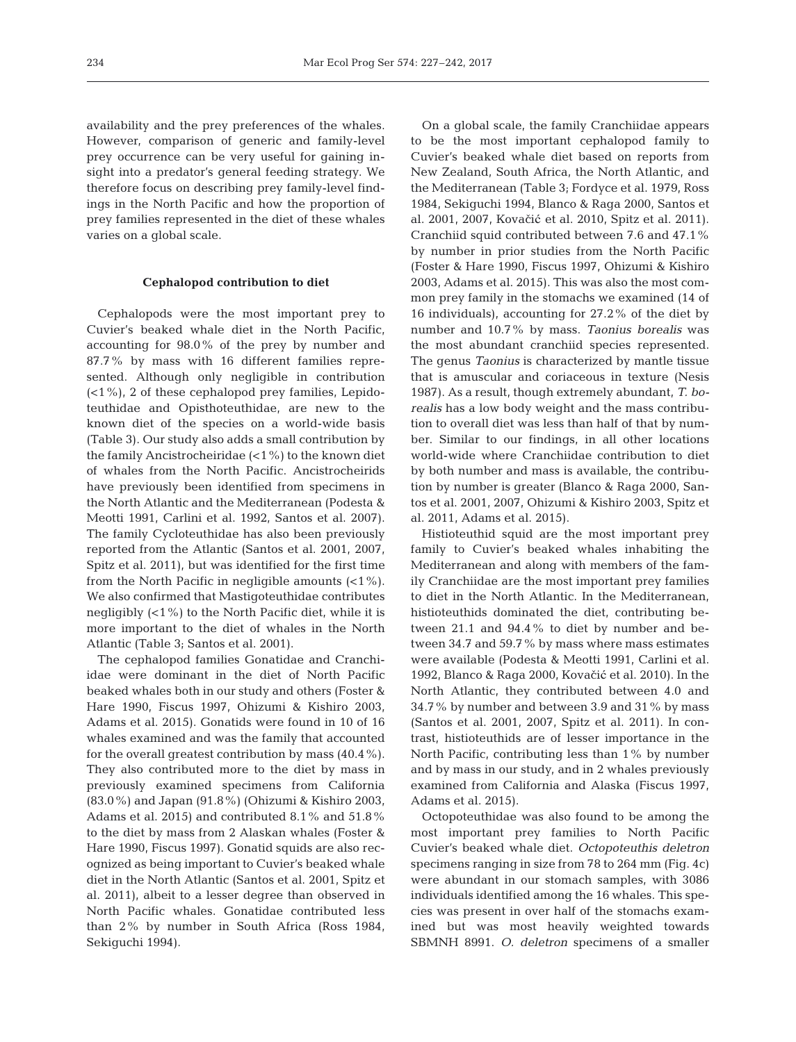availability and the prey preferences of the whales. However, comparison of generic and family-level prey occurrence can be very useful for gaining insight into a predator's general feeding strategy. We therefore focus on describing prey family-level findings in the North Pacific and how the proportion of prey families represented in the diet of these whales varies on a global scale.

## **Cephalopod contribution to diet**

Cephalopods were the most important prey to Cuvier's beaked whale diet in the North Pacific, accounting for 98.0% of the prey by number and 87.7% by mass with 16 different families represented. Although only negligible in contribution (<1%), 2 of these cephalopod prey families, Lepidoteuthidae and Opisthoteuthidae, are new to the known diet of the species on a world-wide basis (Table 3). Our study also adds a small contribution by the family Ancistrocheiridae  $(21\%)$  to the known diet of whales from the North Pacific. Ancistrocheirids have previously been identified from specimens in the North Atlantic and the Mediterranean (Podesta & Meotti 1991, Carlini et al. 1992, Santos et al. 2007). The family Cycloteuthidae has also been previously reported from the Atlantic (Santos et al. 2001, 2007, Spitz et al. 2011), but was identified for the first time from the North Pacific in negligible amounts (<1%). We also confirmed that Mastigoteuthidae contributes negligibly  $(21\%)$  to the North Pacific diet, while it is more important to the diet of whales in the North Atlantic (Table 3; Santos et al. 2001).

The cephalopod families Gonatidae and Cranchiidae were dominant in the diet of North Pacific beaked whales both in our study and others (Foster & Hare 1990, Fiscus 1997, Ohizumi & Kishiro 2003, Adams et al. 2015). Gonatids were found in 10 of 16 whales examined and was the family that accounted for the overall greatest contribution by mass (40.4%). They also contributed more to the diet by mass in previously examined specimens from California (83.0%) and Japan (91.8%) (Ohizumi & Kishiro 2003, Adams et al. 2015) and contributed 8.1% and 51.8% to the diet by mass from 2 Alaskan whales (Foster & Hare 1990, Fiscus 1997). Gonatid squids are also recognized as being important to Cuvier's beaked whale diet in the North Atlantic (Santos et al. 2001, Spitz et al. 2011), albeit to a lesser degree than observed in North Pacific whales. Gonatidae contributed less than 2% by number in South Africa (Ross 1984, Sekiguchi 1994).

On a global scale, the family Cranchiidae appears to be the most important cephalopod family to Cuvier's beaked whale diet based on reports from New Zealand, South Africa, the North Atlantic, and the Mediterranean (Table 3; Fordyce et al. 1979, Ross 1984, Sekiguchi 1994, Blanco & Raga 2000, Santos et al. 2001, 2007, Kovačić et al. 2010, Spitz et al. 2011). Cranchiid squid contributed between 7.6 and 47.1% by number in prior studies from the North Pacific (Foster & Hare 1990, Fiscus 1997, Ohizumi & Kishiro 2003, Adams et al. 2015). This was also the most common prey family in the stomachs we examined (14 of 16 individuals), accounting for 27.2% of the diet by number and 10.7% by mass. *Taonius borealis* was the most abundant cranchiid species represented. The genus *Taonius* is characterized by mantle tissue that is amuscular and coriaceous in texture (Nesis 1987). As a result, though extremely abundant, *T. bo re alis* has a low body weight and the mass contribution to overall diet was less than half of that by number. Similar to our findings, in all other locations world-wide where Cranchiidae contribution to diet by both number and mass is available, the contribution by number is greater (Blanco & Raga 2000, Santos et al. 2001, 2007, Ohizumi & Kishiro 2003, Spitz et al. 2011, Adams et al. 2015).

Histioteuthid squid are the most important prey family to Cuvier's beaked whales inhabiting the Mediterranean and along with members of the family Cranchiidae are the most important prey families to diet in the North Atlantic. In the Mediterranean, histioteuthids dominated the diet, contributing be tween  $21.1$  and  $94.4\%$  to diet by number and between 34.7 and 59.7% by mass where mass estimates were available (Podesta & Meotti 1991, Carlini et al. 1992, Blanco & Raga 2000, Kovačić et al. 2010). In the North Atlantic, they contributed between 4.0 and 34.7% by number and between 3.9 and 31% by mass (Santos et al. 2001, 2007, Spitz et al. 2011). In contrast, histioteuthids are of lesser importance in the North Pacific, contributing less than 1% by number and by mass in our study, and in 2 whales previously examined from California and Alaska (Fiscus 1997, Adams et al. 2015).

Octopoteuthidae was also found to be among the most important prey families to North Pacific Cuvier's beaked whale diet. *Octopoteuthis deletron* specimens ranging in size from 78 to 264 mm (Fig. 4c) were abundant in our stomach samples, with 3086 individuals identified among the 16 whales. This species was present in over half of the stomachs examined but was most heavily weighted towards SBMNH 8991. *O. deletron* specimens of a smaller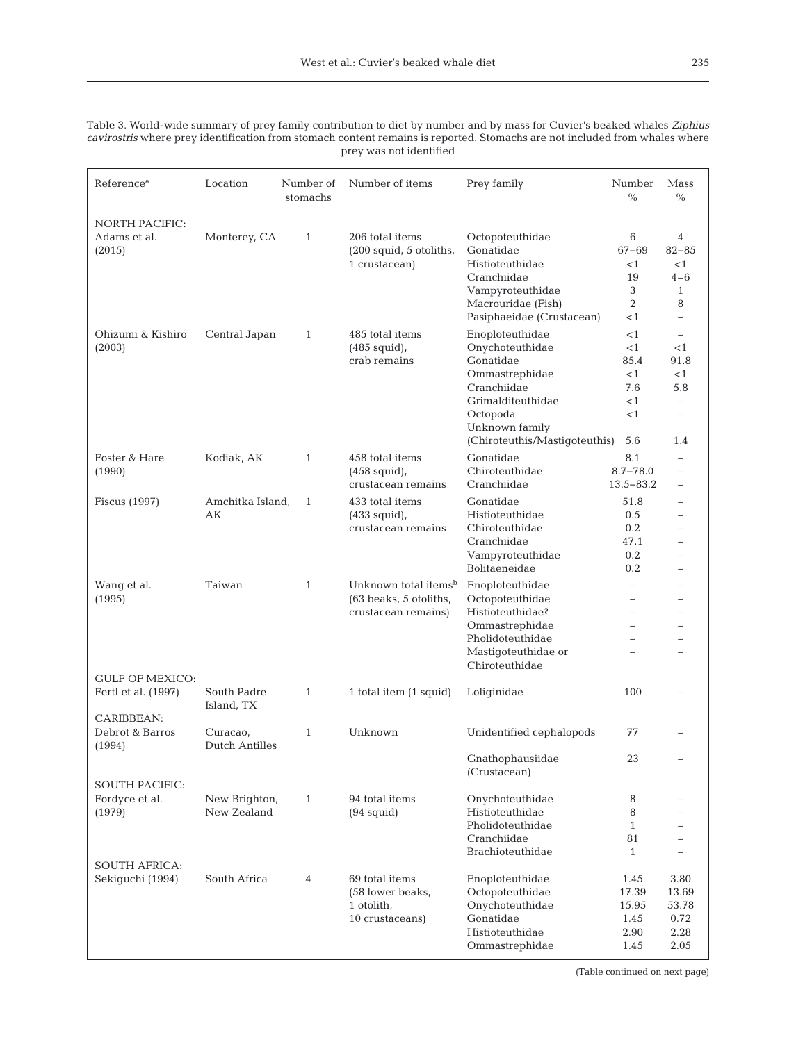| Table 3. World-wide summary of prey family contribution to diet by number and by mass for Cuvier's beaked whales Ziphius    |
|-----------------------------------------------------------------------------------------------------------------------------|
| cavirostris where prey identification from stomach content remains is reported. Stomachs are not included from whales where |
| prey was not identified                                                                                                     |

| Reference <sup>a</sup>                | Location                   | Number of<br>stomachs | Number of items                  | Prey family                                     | Number<br>$\frac{0}{0}$  | Mass<br>$\%$             |
|---------------------------------------|----------------------------|-----------------------|----------------------------------|-------------------------------------------------|--------------------------|--------------------------|
| <b>NORTH PACIFIC:</b><br>Adams et al. | Monterey, CA               | $\mathbf{1}$          | 206 total items                  | Octopoteuthidae                                 | 6                        | 4                        |
| (2015)                                |                            |                       | (200 squid, 5 otoliths,          | Gonatidae                                       | 67-69                    | $82 - 85$                |
|                                       |                            |                       | 1 crustacean)                    | Histioteuthidae                                 | $<$ 1                    | <1                       |
|                                       |                            |                       |                                  | Cranchiidae                                     | 19                       | $4 - 6$                  |
|                                       |                            |                       |                                  | Vampyroteuthidae                                | 3                        | $\mathbf{1}$             |
|                                       |                            |                       |                                  | Macrouridae (Fish)<br>Pasiphaeidae (Crustacean) | $\overline{2}$<br>$<$ 1  | 8<br>$\equiv$            |
| Ohizumi & Kishiro                     | Central Japan              | $\mathbf{1}$          | 485 total items                  | Enoploteuthidae                                 | $<$ 1                    | $\overline{\phantom{0}}$ |
| (2003)                                |                            |                       | $(485$ squid),                   | Onychoteuthidae                                 | <1                       | $<$ 1                    |
|                                       |                            |                       | crab remains                     | Gonatidae                                       | 85.4                     | 91.8                     |
|                                       |                            |                       |                                  | Ommastrephidae                                  | <1                       | $<$ 1                    |
|                                       |                            |                       |                                  | Cranchiidae                                     | 7.6                      | 5.8                      |
|                                       |                            |                       |                                  | Grimalditeuthidae                               | $<$ 1                    | $\overline{\phantom{0}}$ |
|                                       |                            |                       |                                  | Octopoda                                        | $<$ 1                    |                          |
|                                       |                            |                       |                                  | Unknown family                                  |                          |                          |
|                                       |                            |                       |                                  | (Chiroteuthis/Mastigoteuthis)                   | 5.6                      | 1.4                      |
| Foster & Hare                         | Kodiak, AK                 | $\mathbf{1}$          | 458 total items                  | Gonatidae                                       | 8.1                      |                          |
| (1990)                                |                            |                       | $(458$ squid),                   | Chiroteuthidae                                  | $8.7 - 78.0$             |                          |
|                                       |                            |                       | crustacean remains               | Cranchiidae                                     | $13.5 - 83.2$            |                          |
| Fiscus (1997)                         | Amchitka Island,           | $\mathbf{1}$          | 433 total items                  | Gonatidae                                       | 51.8                     |                          |
|                                       | АK                         |                       | $(433$ squid),                   | Histioteuthidae                                 | 0.5                      |                          |
|                                       |                            |                       | crustacean remains               | Chiroteuthidae                                  | 0.2                      |                          |
|                                       |                            |                       |                                  | Cranchiidae                                     | 47.1                     |                          |
|                                       |                            |                       |                                  | Vampyroteuthidae                                | 0.2                      |                          |
|                                       |                            |                       |                                  | Bolitaeneidae                                   | 0.2                      |                          |
| Wang et al.                           | Taiwan                     | $\mathbf{1}$          | Unknown total items <sup>b</sup> | Enoploteuthidae                                 | $\overline{\phantom{0}}$ |                          |
| (1995)                                |                            |                       | (63 beaks, 5 otoliths,           | Octopoteuthidae                                 | $\overline{\phantom{0}}$ |                          |
|                                       |                            |                       | crustacean remains)              | Histioteuthidae?                                | $\equiv$                 |                          |
|                                       |                            |                       |                                  | Ommastrephidae                                  |                          |                          |
|                                       |                            |                       |                                  | Pholidoteuthidae                                | $\equiv$                 |                          |
|                                       |                            |                       |                                  | Mastigoteuthidae or                             |                          |                          |
|                                       |                            |                       |                                  | Chiroteuthidae                                  |                          |                          |
| <b>GULF OF MEXICO:</b>                |                            |                       |                                  |                                                 |                          |                          |
| Fertl et al. (1997)                   | South Padre                | $\mathbf{1}$          | 1 total item (1 squid)           | Loliginidae                                     | 100                      |                          |
| CARIBBEAN:                            | Island, TX                 |                       |                                  |                                                 |                          |                          |
| Debrot & Barros                       |                            | $\mathbf{1}$          | Unknown                          | Unidentified cephalopods                        | 77                       |                          |
| (1994)                                | Curacao,<br>Dutch Antilles |                       |                                  |                                                 |                          |                          |
|                                       |                            |                       |                                  | Gnathophausiidae                                | 23                       |                          |
|                                       |                            |                       |                                  | (Crustacean)                                    |                          |                          |
| <b>SOUTH PACIFIC:</b>                 |                            |                       |                                  |                                                 |                          |                          |
| Fordyce et al.                        | New Brighton,              | $\mathbf{1}$          | 94 total items                   | Onychoteuthidae                                 | 8                        |                          |
| (1979)                                | New Zealand                |                       | $(94$ squid)                     | Histioteuthidae                                 | 8                        |                          |
|                                       |                            |                       |                                  | Pholidoteuthidae                                | $\mathbf{1}$             |                          |
|                                       |                            |                       |                                  | Cranchiidae                                     | 81                       |                          |
|                                       |                            |                       |                                  | Brachioteuthidae                                | 1                        |                          |
| <b>SOUTH AFRICA:</b>                  |                            |                       |                                  |                                                 |                          |                          |
| Sekiguchi (1994)                      | South Africa               | 4                     | 69 total items                   | Enoploteuthidae                                 | 1.45                     | 3.80                     |
|                                       |                            |                       | (58 lower beaks,                 | Octopoteuthidae                                 | 17.39                    | 13.69                    |
|                                       |                            |                       | 1 otolith,                       | Onychoteuthidae                                 | 15.95                    | 53.78                    |
|                                       |                            |                       | 10 crustaceans)                  | Gonatidae                                       | 1.45                     | 0.72                     |
|                                       |                            |                       |                                  | Histioteuthidae                                 | 2.90                     | 2.28                     |
|                                       |                            |                       |                                  | Ommastrephidae                                  | 1.45                     | 2.05                     |

(Table continued on next page)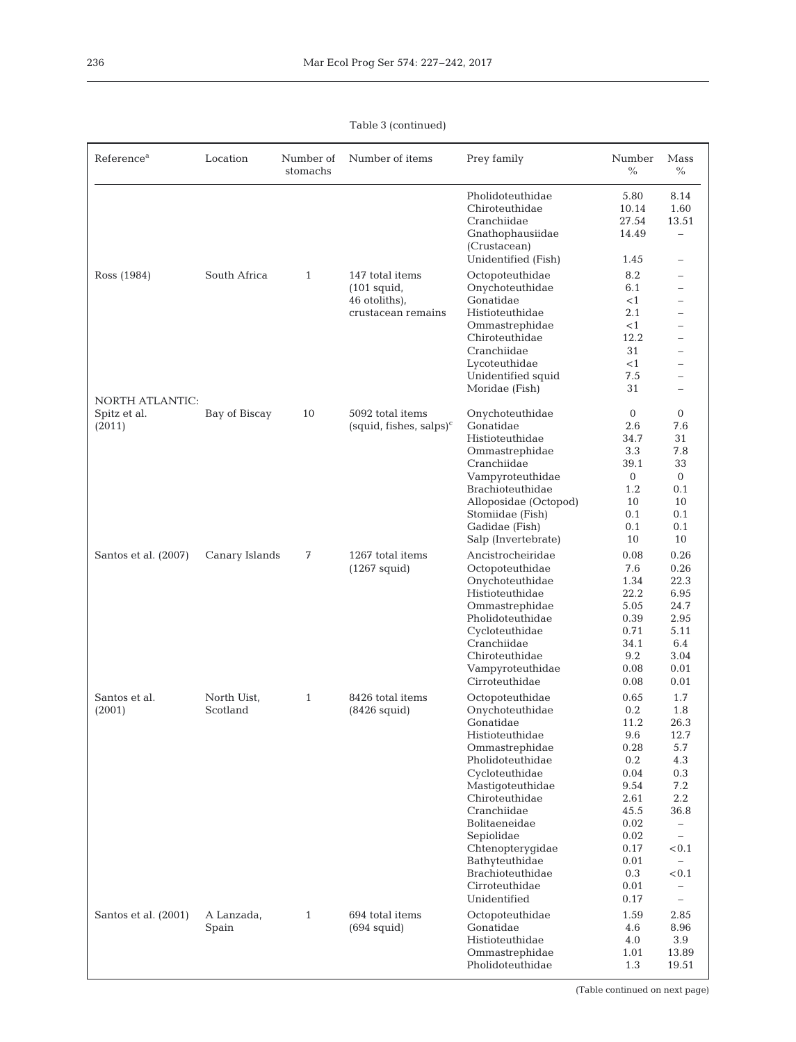# Table 3 (continued)

| Reference <sup>a</sup>                           | Location                | Number of<br>stomachs | Number of items                                                         | Prey family                                                                                                                                                                                                                                                                                                | Number<br>$\frac{0}{0}$                                                                                                          | Mass<br>$\%$                                                                                                                                                                                                                                    |
|--------------------------------------------------|-------------------------|-----------------------|-------------------------------------------------------------------------|------------------------------------------------------------------------------------------------------------------------------------------------------------------------------------------------------------------------------------------------------------------------------------------------------------|----------------------------------------------------------------------------------------------------------------------------------|-------------------------------------------------------------------------------------------------------------------------------------------------------------------------------------------------------------------------------------------------|
|                                                  |                         |                       |                                                                         | Pholidoteuthidae<br>Chiroteuthidae<br>Cranchiidae<br>Gnathophausiidae<br>(Crustacean)<br>Unidentified (Fish)                                                                                                                                                                                               | 5.80<br>10.14<br>27.54<br>14.49<br>1.45                                                                                          | 8.14<br>1.60<br>13.51<br>$\qquad \qquad -$<br>$\qquad \qquad -$                                                                                                                                                                                 |
| Ross (1984)                                      | South Africa            | $\mathbf{1}$          | 147 total items<br>$(101$ squid,<br>46 otoliths),<br>crustacean remains | Octopoteuthidae<br>Onychoteuthidae<br>Gonatidae<br>Histioteuthidae<br>Ommastrephidae<br>Chiroteuthidae<br>Cranchiidae<br>Lycoteuthidae<br>Unidentified squid<br>Moridae (Fish)                                                                                                                             | 8.2<br>6.1<br><1<br>2.1<br>$<$ 1<br>12.2<br>31<br><1<br>7.5<br>31                                                                | $\overline{\phantom{0}}$<br>$\equiv$<br>$\qquad \qquad -$<br>$\overline{\phantom{0}}$<br>$\qquad \qquad -$<br>$\qquad \qquad -$<br>$\overline{\phantom{0}}$<br>$\overline{\phantom{0}}$<br>$\overline{\phantom{0}}$<br>$\overline{\phantom{0}}$ |
| <b>NORTH ATLANTIC:</b><br>Spitz et al.<br>(2011) | Bay of Biscay           | 10                    | 5092 total items<br>$(squid, \text{fishes}, \text{salps})^c$            | Onychoteuthidae<br>Gonatidae<br>Histioteuthidae<br>Ommastrephidae<br>Cranchiidae<br>Vampyroteuthidae<br>Brachioteuthidae<br>Alloposidae (Octopod)<br>Stomiidae (Fish)<br>Gadidae (Fish)<br>Salp (Invertebrate)                                                                                             | $\overline{0}$<br>2.6<br>34.7<br>3.3<br>39.1<br>$\overline{0}$<br>1.2<br>10<br>0.1<br>0.1<br>10                                  | $\overline{0}$<br>7.6<br>31<br>7.8<br>33<br>$\mathbf{0}$<br>0.1<br>10<br>0.1<br>0.1<br>10                                                                                                                                                       |
| Santos et al. (2007)                             | Canary Islands          | 7                     | 1267 total items<br>$(1267 \text{ squid})$                              | Ancistrocheiridae<br>Octopoteuthidae<br>Onychoteuthidae<br>Histioteuthidae<br>Ommastrephidae<br>Pholidoteuthidae<br>Cycloteuthidae<br>Cranchiidae<br>Chiroteuthidae<br>Vampyroteuthidae<br>Cirroteuthidae                                                                                                  | 0.08<br>7.6<br>1.34<br>22.2<br>5.05<br>0.39<br>0.71<br>34.1<br>9.2<br>0.08<br>0.08                                               | 0.26<br>0.26<br>22.3<br>6.95<br>24.7<br>2.95<br>5.11<br>6.4<br>3.04<br>0.01<br>0.01                                                                                                                                                             |
| Santos et al.<br>(2001)                          | North Uist,<br>Scotland | $\mathbf{1}$          | 8426 total items<br>$(8426$ squid)                                      | Octopoteuthidae<br>Onychoteuthidae<br>Gonatidae<br>Histioteuthidae<br>Ommastrephidae<br>Pholidoteuthidae<br>Cycloteuthidae<br>Mastigoteuthidae<br>Chiroteuthidae<br>Cranchiidae<br>Bolitaeneidae<br>Sepiolidae<br>Chtenopterygidae<br>Bathyteuthidae<br>Brachioteuthidae<br>Cirroteuthidae<br>Unidentified | 0.65<br>0.2<br>11.2<br>9.6<br>0.28<br>0.2<br>0.04<br>9.54<br>2.61<br>45.5<br>0.02<br>0.02<br>0.17<br>0.01<br>0.3<br>0.01<br>0.17 | 1.7<br>1.8<br>26.3<br>12.7<br>5.7<br>4.3<br>0.3<br>7.2<br>$2.2\,$<br>36.8<br>$\qquad \qquad -$<br>$\qquad \qquad -$<br>< 0.1<br>$\overline{\phantom{0}}$<br>< 0.1<br>$\overline{\phantom{m}}$<br>$\overline{\phantom{0}}$                       |
| Santos et al. (2001)                             | A Lanzada,<br>Spain     | $\mathbf{1}$          | 694 total items<br>$(694$ squid)                                        | Octopoteuthidae<br>Gonatidae<br>Histioteuthidae<br>Ommastrephidae<br>Pholidoteuthidae                                                                                                                                                                                                                      | 1.59<br>4.6<br>4.0<br>1.01<br>1.3                                                                                                | 2.85<br>8.96<br>3.9<br>13.89<br>19.51                                                                                                                                                                                                           |

 $\mathsf{l}$ 

(Table continued on next page)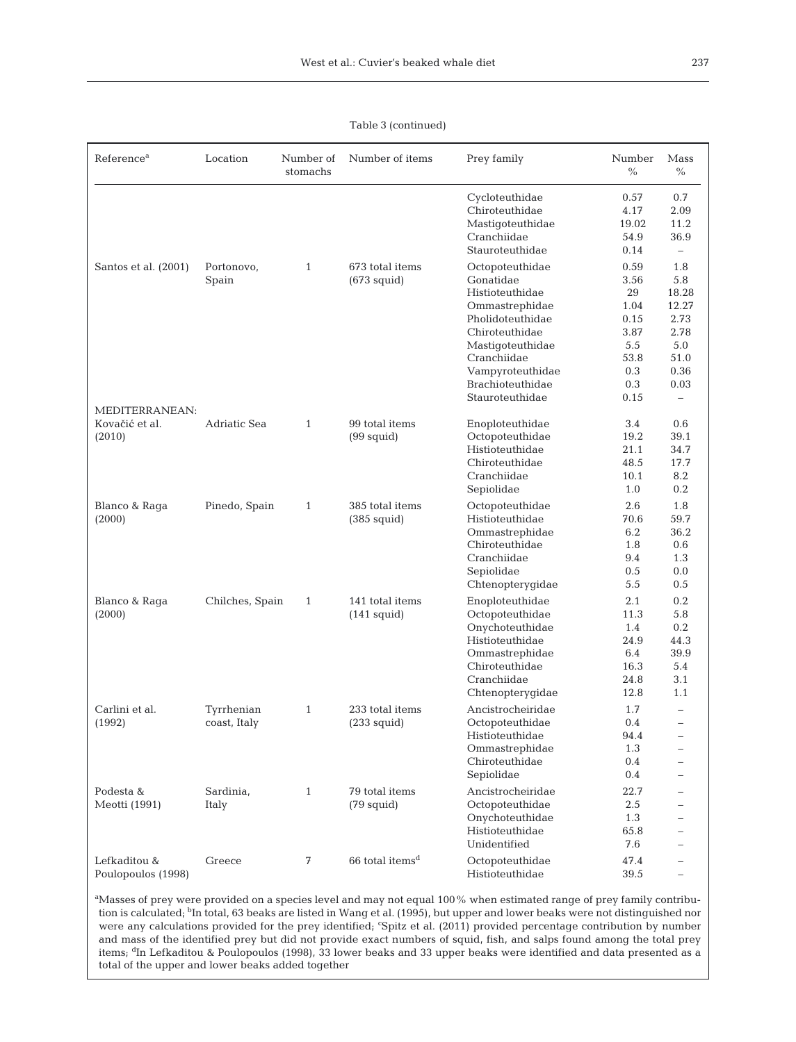## Table 3 (continued)

| Reference <sup>a</sup>                     | Location                   | Number of<br>stomachs | Number of items                          | Prey family                                                                                                                                                                                           | Number<br>$\%$                                                                  | Mass<br>$\%$                                                                                            |
|--------------------------------------------|----------------------------|-----------------------|------------------------------------------|-------------------------------------------------------------------------------------------------------------------------------------------------------------------------------------------------------|---------------------------------------------------------------------------------|---------------------------------------------------------------------------------------------------------|
|                                            |                            |                       |                                          | Cycloteuthidae<br>Chiroteuthidae<br>Mastigoteuthidae<br>Cranchiidae<br>Stauroteuthidae                                                                                                                | 0.57<br>4.17<br>19.02<br>54.9<br>0.14                                           | 0.7<br>2.09<br>11.2<br>36.9<br>$\overline{\phantom{0}}$                                                 |
| Santos et al. (2001)                       | Portonovo,<br>Spain        | $\mathbf{1}$          | 673 total items<br>$(673$ squid)         | Octopoteuthidae<br>Gonatidae<br>Histioteuthidae<br>Ommastrephidae<br>Pholidoteuthidae<br>Chiroteuthidae<br>Mastigoteuthidae<br>Cranchiidae<br>Vampyroteuthidae<br>Brachioteuthidae<br>Stauroteuthidae | 0.59<br>3.56<br>29<br>1.04<br>0.15<br>3.87<br>5.5<br>53.8<br>0.3<br>0.3<br>0.15 | 1.8<br>5.8<br>18.28<br>12.27<br>2.73<br>2.78<br>5.0<br>51.0<br>0.36<br>0.03<br>$\overline{\phantom{0}}$ |
| MEDITERRANEAN:<br>Kovačić et al.<br>(2010) | Adriatic Sea               | $\mathbf{1}$          | 99 total items<br>$(99$ squid)           | Enoploteuthidae<br>Octopoteuthidae<br>Histioteuthidae<br>Chiroteuthidae<br>Cranchiidae<br>Sepiolidae                                                                                                  | 3.4<br>19.2<br>21.1<br>48.5<br>10.1<br>1.0                                      | 0.6<br>39.1<br>34.7<br>17.7<br>8.2<br>0.2                                                               |
| Blanco & Raga<br>(2000)                    | Pinedo, Spain              | $\mathbf{1}$          | 385 total items<br>$(385 \text{ squid})$ | Octopoteuthidae<br>Histioteuthidae<br>Ommastrephidae<br>Chiroteuthidae<br>Cranchiidae<br>Sepiolidae<br>Chtenopterygidae                                                                               | 2.6<br>70.6<br>6.2<br>1.8<br>9.4<br>0.5<br>5.5                                  | 1.8<br>59.7<br>36.2<br>0.6<br>1.3<br>0.0<br>0.5                                                         |
| Blanco & Raga<br>(2000)                    | Chilches, Spain            | $\mathbf{1}$          | 141 total items<br>$(141$ squid)         | Enoploteuthidae<br>Octopoteuthidae<br>Onychoteuthidae<br>Histioteuthidae<br>Ommastrephidae<br>Chiroteuthidae<br>Cranchiidae<br>Chtenopterygidae                                                       | 2.1<br>11.3<br>1.4<br>24.9<br>6.4<br>16.3<br>24.8<br>12.8                       | 0.2<br>5.8<br>0.2<br>44.3<br>39.9<br>5.4<br>3.1<br>1.1                                                  |
| Carlini et al.<br>(1992)                   | Tyrrhenian<br>coast, Italy | $\mathbf{1}$          | 233 total items<br>$(233$ squid)         | Ancistrocheiridae<br>Octopoteuthidae<br>Histioteuthidae<br>Ommastrephidae<br>Chiroteuthidae<br>Sepiolidae                                                                                             | 1.7<br>0.4<br>94.4<br>1.3<br>0.4<br>0.4                                         | $\qquad \qquad -$                                                                                       |
| Podesta &<br>Meotti (1991)                 | Sardinia,<br>Italy         | $\mathbf{1}$          | 79 total items<br>$(79 \text{ squid})$   | Ancistrocheiridae<br>Octopoteuthidae<br>Onychoteuthidae<br>Histioteuthidae<br>Unidentified                                                                                                            | 22.7<br>2.5<br>1.3<br>65.8<br>7.6                                               |                                                                                                         |
| Lefkaditou &<br>Poulopoulos (1998)         | Greece                     | 7                     | $66$ total items <sup>d</sup>            | Octopoteuthidae<br>Histioteuthidae                                                                                                                                                                    | 47.4<br>39.5                                                                    |                                                                                                         |

<sup>a</sup>Masses of prey were provided on a species level and may not equal 100% when estimated range of prey family contribution is calculated; <sup>b</sup>In total, 63 beaks are listed in Wang et al. (1995), but upper and lower beaks were not distinguished nor were any calculations provided for the prey identified; 'Spitz et al. (2011) provided percentage contribution by number and mass of the identified prey but did not provide exact numbers of squid, fish, and salps found among the total prey items; <sup>d</sup>In Lefkaditou & Poulopoulos (1998), 33 lower beaks and 33 upper beaks were identified and data presented as a total of the upper and lower beaks added together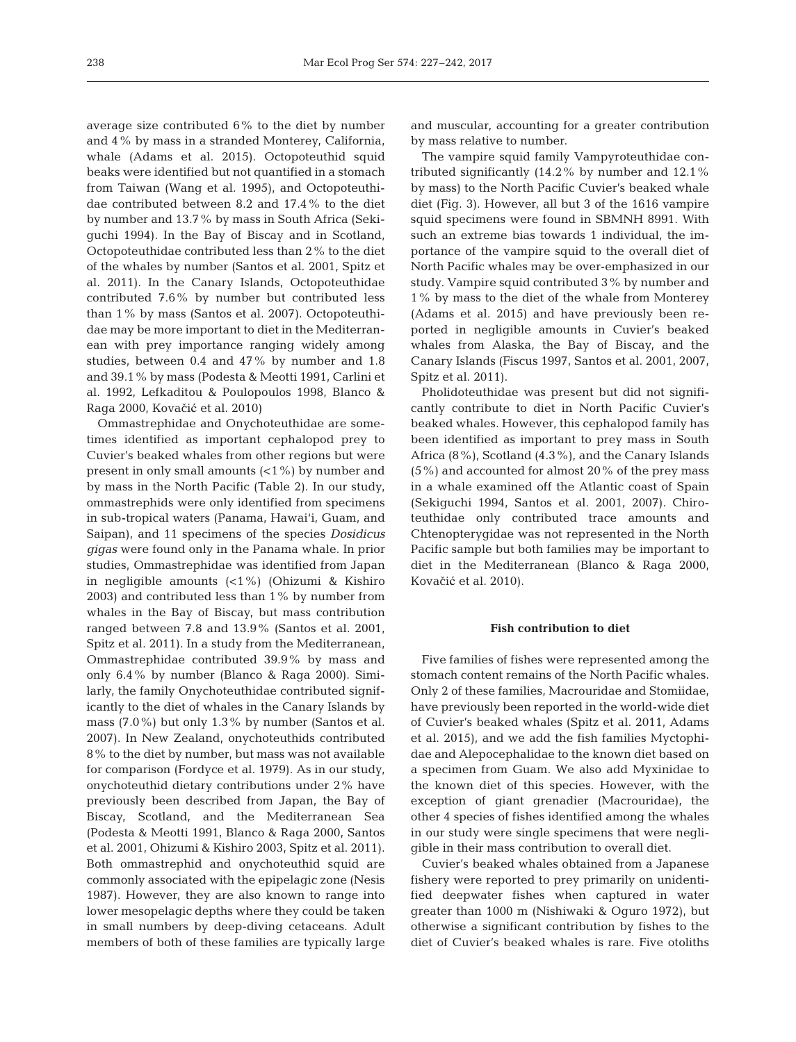average size contributed 6% to the diet by number and 4% by mass in a stranded Monterey, California, whale (Adams et al. 2015). Octopoteuthid squid beaks were identified but not quantified in a stomach from Taiwan (Wang et al. 1995), and Octopoteuthidae contributed between 8.2 and 17.4% to the diet by number and 13.7% by mass in South Africa (Sekiguchi 1994). In the Bay of Biscay and in Scotland, Octopoteuthidae contributed less than 2% to the diet of the whales by number (Santos et al. 2001, Spitz et al. 2011). In the Canary Islands, Octopoteuthidae contributed 7.6% by number but contributed less than 1% by mass (Santos et al. 2007). Octopoteuthidae may be more important to diet in the Mediterranean with prey importance ranging widely among studies, between 0.4 and 47% by number and 1.8 and 39.1% by mass (Podesta & Meotti 1991, Carlini et al. 1992, Lefkaditou & Poulopoulos 1998, Blanco & Raga 2000, Kovačić et al. 2010)

Ommastrephidae and Onychoteuthidae are sometimes identified as important cephalopod prey to Cuvier's beaked whales from other regions but were present in only small amounts (<1%) by number and by mass in the North Pacific (Table 2). In our study, ommastrephids were only identified from specimens in sub-tropical waters (Panama, Hawai'i, Guam, and Saipan), and 11 specimens of the species *Dosidicus gigas* were found only in the Panama whale. In prior studies, Ommastrephidae was identified from Japan in negligible amounts (<1%) (Ohizumi & Kishiro 2003) and contributed less than 1% by number from whales in the Bay of Biscay, but mass contribution ranged between 7.8 and 13.9% (Santos et al. 2001, Spitz et al. 2011). In a study from the Mediterranean, Ommastrephidae contributed 39.9% by mass and only 6.4% by number (Blanco & Raga 2000). Similarly, the family Onychoteuthidae contributed significantly to the diet of whales in the Canary Islands by mass (7.0%) but only 1.3% by number (Santos et al. 2007). In New Zealand, onychoteuthids contributed 8% to the diet by number, but mass was not available for comparison (Fordyce et al. 1979). As in our study, onychoteuthid dietary contributions under 2% have previously been described from Japan, the Bay of Biscay, Scotland, and the Mediterranean Sea (Podesta & Meotti 1991, Blanco & Raga 2000, Santos et al. 2001, Ohizumi & Kishiro 2003, Spitz et al. 2011). Both ommastrephid and onychoteuthid squid are commonly associated with the epipelagic zone (Nesis 1987). However, they are also known to range into lower mesopelagic depths where they could be taken in small numbers by deep-diving cetaceans. Adult members of both of these families are typically large

and muscular, accounting for a greater contribution by mass relative to number.

The vampire squid family Vampyroteuthidae contributed significantly (14.2% by number and 12.1% by mass) to the North Pacific Cuvier's beaked whale diet (Fig. 3). However, all but 3 of the 1616 vampire squid specimens were found in SBMNH 8991. With such an extreme bias towards 1 individual, the importance of the vampire squid to the overall diet of North Pacific whales may be over-emphasized in our study. Vampire squid contributed 3% by number and 1% by mass to the diet of the whale from Monterey (Adams et al. 2015) and have previously been reported in negligible amounts in Cuvier's beaked whales from Alaska, the Bay of Biscay, and the Canary Islands (Fiscus 1997, Santos et al. 2001, 2007, Spitz et al. 2011).

Pholidoteuthidae was present but did not significantly contribute to diet in North Pacific Cuvier's beaked whales. However, this cephalopod family has been identified as important to prey mass in South Africa (8%), Scotland (4.3%), and the Canary Islands (5%) and accounted for almost 20% of the prey mass in a whale examined off the Atlantic coast of Spain (Sekiguchi 1994, Santos et al. 2001, 2007). Chiroteuthidae only contributed trace amounts and Chtenopterygidae was not represented in the North Pacific sample but both families may be important to diet in the Mediterranean (Blanco & Raga 2000, Kovačić et al. 2010).

### **Fish contribution to diet**

Five families of fishes were represented among the stomach content remains of the North Pacific whales. Only 2 of these families, Macrouridae and Stomiidae, have previously been reported in the world-wide diet of Cuvier's beaked whales (Spitz et al. 2011, Adams et al. 2015), and we add the fish families Myctophidae and Alepocephalidae to the known diet based on a specimen from Guam. We also add Myxinidae to the known diet of this species. However, with the exception of giant grenadier (Macrouridae), the other 4 species of fishes identified among the whales in our study were single specimens that were negligible in their mass contribution to overall diet.

Cuvier's beaked whales obtained from a Japanese fishery were reported to prey primarily on unidentified deepwater fishes when captured in water greater than 1000 m (Nishiwaki & Oguro 1972), but otherwise a significant contribution by fishes to the diet of Cuvier's beaked whales is rare. Five otoliths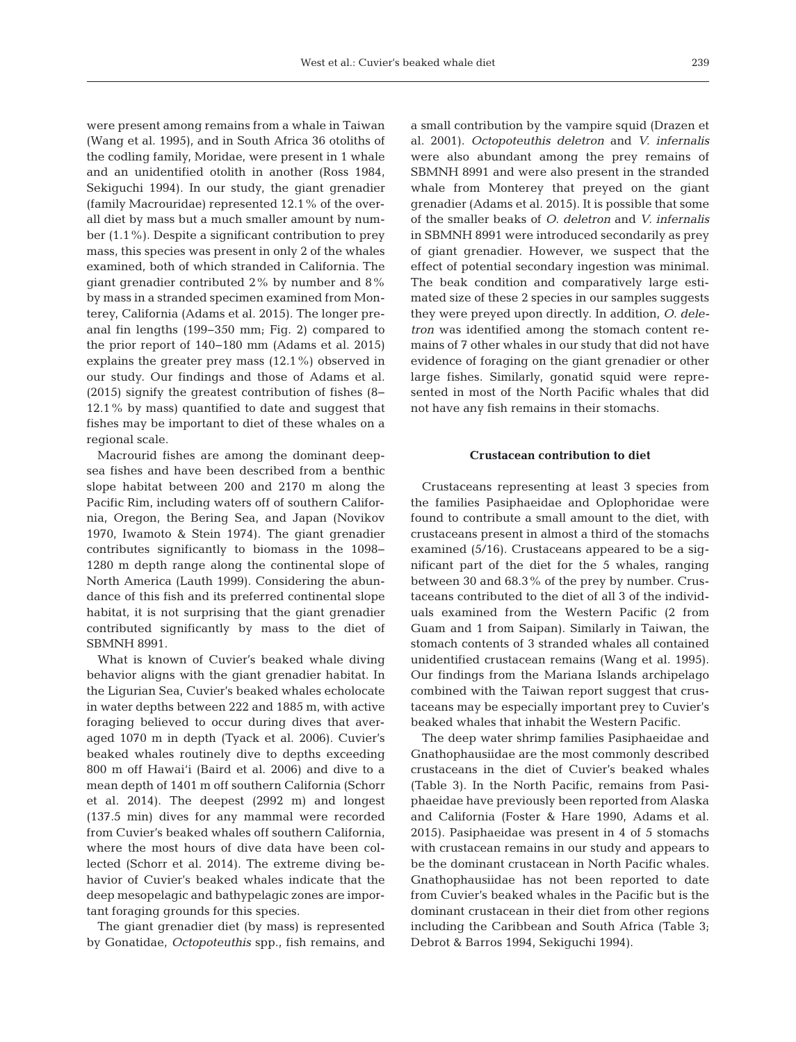were present among remains from a whale in Taiwan (Wang et al. 1995), and in South Africa 36 otoliths of the codling family, Moridae, were present in 1 whale and an unidentified otolith in another (Ross 1984, Sekiguchi 1994). In our study, the giant grenadier (family Macrouridae) represented 12.1% of the overall diet by mass but a much smaller amount by number (1.1%). Despite a significant contribution to prey mass, this species was present in only 2 of the whales examined, both of which stranded in California. The giant grenadier contributed 2% by number and 8% by mass in a stranded specimen examined from Monterey, California (Adams et al. 2015). The longer preanal fin lengths (199−350 mm; Fig. 2) compared to the prior report of 140−180 mm (Adams et al. 2015) explains the greater prey mass  $(12.1\%)$  observed in our study. Our findings and those of Adams et al. (2015) signify the greatest contribution of fishes (8− 12.1% by mass) quantified to date and suggest that fishes may be important to diet of these whales on a regional scale.

Macrourid fishes are among the dominant deepsea fishes and have been described from a benthic slope habitat between 200 and 2170 m along the Pacific Rim, including waters off of southern California, Oregon, the Bering Sea, and Japan (Novikov 1970, Iwamoto & Stein 1974). The giant grenadier contributes significantly to biomass in the 1098− 1280 m depth range along the continental slope of North America (Lauth 1999). Considering the abundance of this fish and its preferred continental slope habitat, it is not surprising that the giant grenadier contributed significantly by mass to the diet of SBMNH 8991.

What is known of Cuvier's beaked whale diving behavior aligns with the giant grenadier habitat. In the Ligurian Sea, Cuvier's beaked whales echolocate in water depths between 222 and 1885 m, with active foraging believed to occur during dives that averaged 1070 m in depth (Tyack et al. 2006). Cuvier's beaked whales routinely dive to depths exceeding 800 m off Hawai'i (Baird et al. 2006) and dive to a mean depth of 1401 m off southern California (Schorr et al. 2014). The deepest (2992 m) and longest (137.5 min) dives for any mammal were recorded from Cuvier's beaked whales off southern California, where the most hours of dive data have been collected (Schorr et al. 2014). The extreme diving be havior of Cuvier's beaked whales indicate that the deep mesopelagic and bathypelagic zones are important foraging grounds for this species.

The giant grenadier diet (by mass) is represented by Gonatidae, *Octopoteuthis* spp., fish remains, and a small contribution by the vampire squid (Drazen et al. 2001). *Octopoteuthis deletron* and *V. infernalis* were also abundant among the prey remains of SBMNH 8991 and were also present in the stranded whale from Monterey that preyed on the giant grenadier (Adams et al. 2015). It is possible that some of the smaller beaks of *O. deletron* and *V. infernalis* in SBMNH 8991 were introduced secondarily as prey of giant grenadier. However, we suspect that the effect of potential secondary ingestion was minimal. The beak condition and comparatively large estimated size of these 2 species in our samples suggests they were preyed upon directly. In addition, *O. dele tron* was identified among the stomach content remains of 7 other whales in our study that did not have evidence of foraging on the giant grenadier or other large fishes. Similarly, gonatid squid were represented in most of the North Pacific whales that did not have any fish remains in their stomachs.

#### **Crustacean contribution to diet**

Crustaceans representing at least 3 species from the families Pasiphaeidae and Oplophoridae were found to contribute a small amount to the diet, with crustaceans present in almost a third of the stomachs examined (5/16). Crustaceans appeared to be a significant part of the diet for the 5 whales, ranging between 30 and 68.3% of the prey by number. Crustaceans contributed to the diet of all 3 of the individuals examined from the Western Pacific (2 from Guam and 1 from Saipan). Similarly in Taiwan, the stomach contents of 3 stranded whales all contained unidentified crustacean remains (Wang et al. 1995). Our findings from the Mariana Islands archipelago combined with the Taiwan report suggest that crustaceans may be especially important prey to Cuvier's beaked whales that inhabit the Western Pacific.

The deep water shrimp families Pasiphaeidae and Gnathophausiidae are the most commonly described crustaceans in the diet of Cuvier's beaked whales (Table 3). In the North Pacific, remains from Pasi phaeidae have previously been reported from Alaska and California (Foster & Hare 1990, Adams et al. 2015). Pasiphaeidae was present in 4 of 5 stomachs with crustacean remains in our study and appears to be the dominant crustacean in North Pacific whales. Gnathophausiidae has not been reported to date from Cuvier's beaked whales in the Pacific but is the dominant crustacean in their diet from other regions including the Caribbean and South Africa (Table 3; Debrot & Barros 1994, Sekiguchi 1994).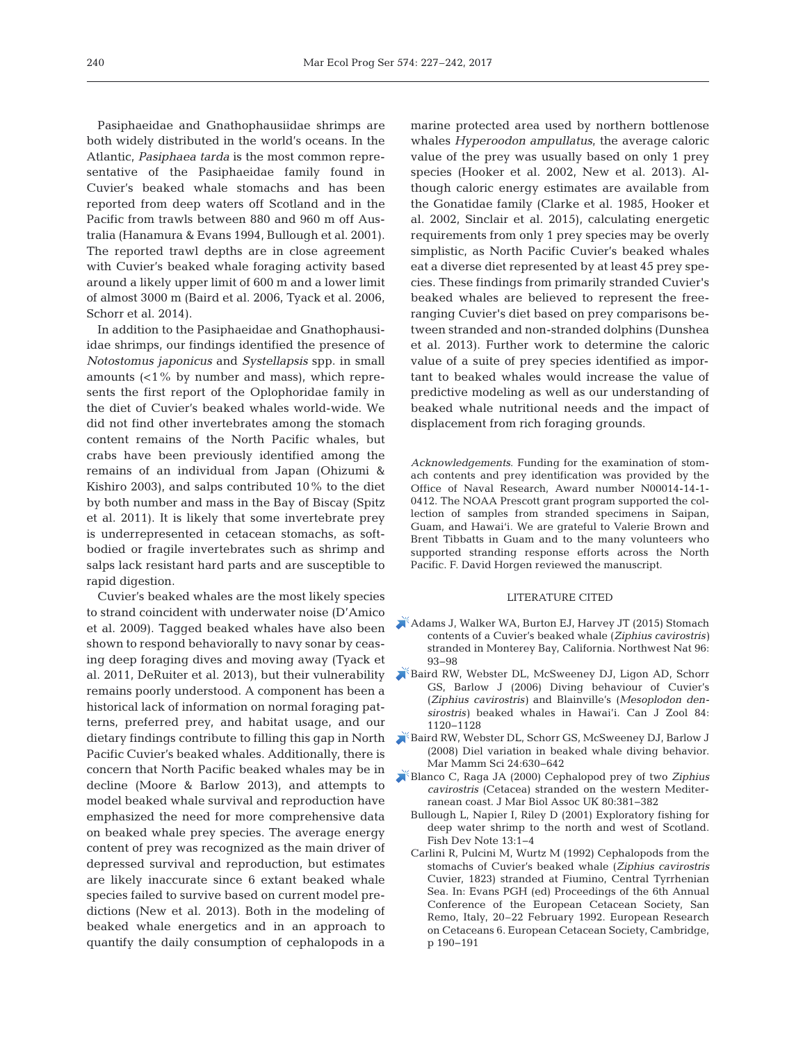Pasiphaeidae and Gnathophausiidae shrimps are both widely distributed in the world's oceans. In the Atlantic, *Pasiphaea tarda* is the most common representative of the Pasiphaeidae family found in Cuvier's beaked whale stomachs and has been reported from deep waters off Scotland and in the Pacific from trawls between 880 and 960 m off Australia (Hanamura & Evans 1994, Bullough et al. 2001). The reported trawl depths are in close agreement with Cuvier's beaked whale foraging activity based around a likely upper limit of 600 m and a lower limit of almost 3000 m (Baird et al. 2006, Tyack et al. 2006, Schorr et al. 2014).

In addition to the Pasiphaeidae and Gnathophausiidae shrimps, our findings identified the presence of *Notostomus japonicus* and *Systellapsis* spp. in small amounts (<1% by number and mass), which represents the first report of the Oplophoridae family in the diet of Cuvier's beaked whales world-wide. We did not find other invertebrates among the stomach content remains of the North Pacific whales, but crabs have been previously identified among the remains of an individual from Japan (Ohizumi & Kishiro 2003), and salps contributed 10% to the diet by both number and mass in the Bay of Biscay (Spitz et al. 2011). It is likely that some invertebrate prey is underrepresented in cetacean stomachs, as softbodied or fragile invertebrates such as shrimp and salps lack resistant hard parts and are susceptible to rapid digestion.

Cuvier's beaked whales are the most likely species to strand coincident with underwater noise (D'Amico et al. 2009). Tagged beaked whales have also been shown to respond behaviorally to navy sonar by ceasing deep foraging dives and moving away (Tyack et al. 2011, DeRuiter et al. 2013), but their vulnerability remains poorly understood. A component has been a historical lack of information on normal foraging patterns, preferred prey, and habitat usage, and our dietary findings contribute to filling this gap in North Pacific Cuvier's beaked whales. Additionally, there is concern that North Pacific beaked whales may be in decline (Moore & Barlow 2013), and attempts to model beaked whale survival and reproduction have emphasized the need for more comprehensive data on beaked whale prey species. The average energy content of prey was recognized as the main driver of depressed survival and reproduction, but estimates are likely inaccurate since 6 extant beaked whale species failed to survive based on current model predictions (New et al. 2013). Both in the modeling of beaked whale energetics and in an approach to quantify the daily consumption of cephalopods in a

marine protected area used by northern bottlenose whales *Hyperoodon ampullatus*, the average caloric value of the prey was usually based on only 1 prey species (Hooker et al. 2002, New et al. 2013). Although caloric energy estimates are available from the Gonatidae family (Clarke et al. 1985, Hooker et al. 2002, Sinclair et al. 2015), calculating energetic requirements from only 1 prey species may be overly simplistic, as North Pacific Cuvier's beaked whales eat a diverse diet represented by at least 45 prey species. These findings from primarily stranded Cuvier's beaked whales are believed to represent the freeranging Cuvier's diet based on prey comparisons be tween stranded and non-stranded dolphins (Dunshea et al. 2013). Further work to determine the caloric value of a suite of prey species identified as important to beaked whales would increase the value of predictive modeling as well as our understanding of beaked whale nutritional needs and the impact of displacement from rich foraging grounds.

*Acknowledgements*. Funding for the examination of stomach contents and prey identification was provided by the Office of Naval Research, Award number N00014-14-1- 0412. The NOAA Prescott grant program supported the collection of samples from stranded specimens in Saipan, Guam, and Hawai'i. We are grateful to Valerie Brown and Brent Tibbatts in Guam and to the many volunteers who supported stranding response efforts across the North Pacific. F. David Horgen reviewed the manuscript.

## LITERATURE CITED

- [Adams J, Walker WA, Burton EJ, Harvey JT \(2015\) Stomach](https://doi.org/10.1898/NWN14-10.1) contents of a Cuvier's beaked whale (*Ziphius cavirostris)* stranded in Monterey Bay, California. Northwest Nat 96: 93−98
- [Baird RW, Webster DL, McSweeney DJ, Ligon AD, Schorr](https://doi.org/10.1139/z06-095) GS, Barlow J (2006) Diving behaviour of Cuvier's (*Ziphius cavirostris)* and Blainville's (*Mesoplodon densirostris)* beaked whales in Hawai'i. Can J Zool 84: 1120−1128
- [Baird RW, Webster DL, Schorr GS, McSweeney DJ, Barlow J](https://doi.org/10.1111/j.1748-7692.2008.00211.x) (2008) Diel variation in beaked whale diving behavior. Mar Mamm Sci 24:630-642
- [Blanco C, Raga JA \(2000\) Cephalopod prey of two](https://doi.org/10.1017/S0025315499002064) *Ziphius cavirostris* (Cetacea) stranded on the western Mediterranean coast. J Mar Biol Assoc UK 80:381-382
	- Bullough L, Napier I, Riley D (2001) Exploratory fishing for deep water shrimp to the north and west of Scotland. Fish Dev Note 13: 1−4
	- Carlini R, Pulcini M, Wurtz M (1992) Cephalopods from the stomachs of Cuvier's beaked whale (*Ziphius cavirostris* Cuvier, 1823) stranded at Fiumino, Central Tyrrhenian Sea. In:Evans PGH (ed) Proceedings of the 6th Annual Conference of the European Cetacean Society, San Remo, Italy, 20–22 February 1992. European Research on Cetaceans 6. European Cetacean Society, Cambridge, p 190−191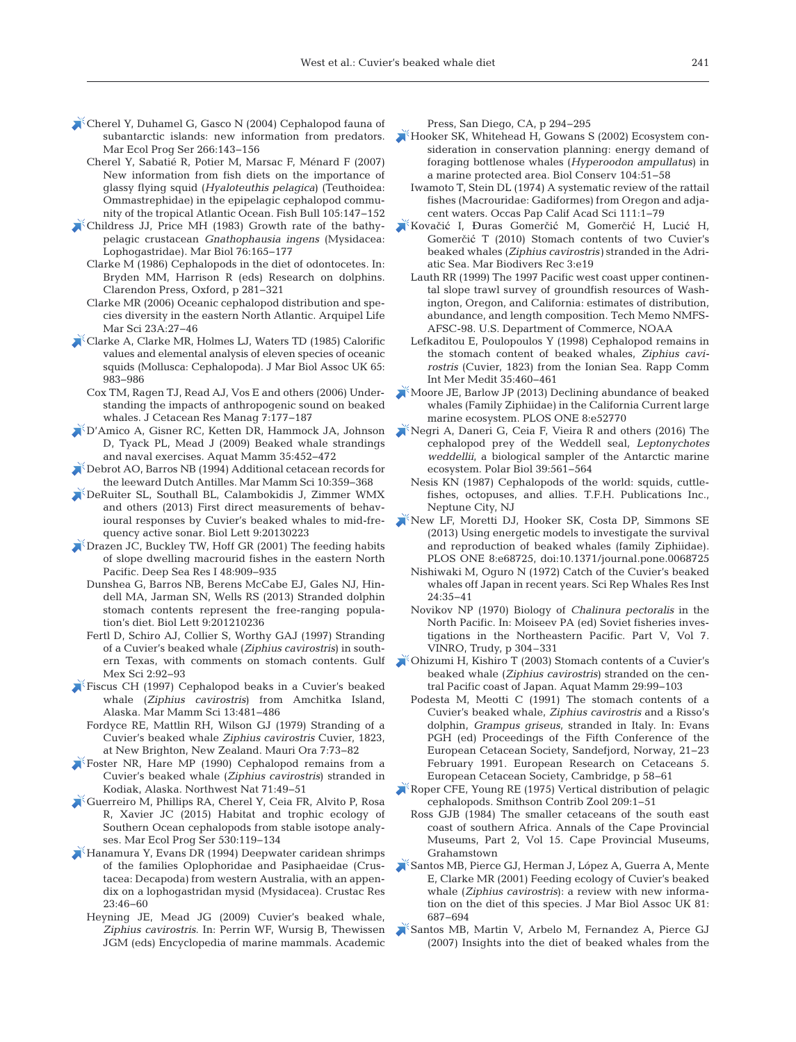- [Cherel Y, Duhamel G, Gasco N \(2004\) Cephalopod fauna of](https://doi.org/10.3354/meps266143) subantarctic islands: new information from predators. Mar Ecol Prog Ser 266: 143−156
	- Cherel Y, Sabatié R, Potier M, Marsac F, Ménard F (2007) New information from fish diets on the importance of glassy flying squid (*Hyaloteuthis pelagica*) (Teuthoidea: Ommastrephidae) in the epipelagic cephalopod community of the tropical Atlantic Ocean. Fish Bull 105: 147−152
- [Childress JJ, Price MH \(1983\) Growth rate of the bathy](https://doi.org/10.1007/BF00392733)pelagic crustacean *Gnathophausia ingens* (Mysidacea: Lophogastridae). Mar Biol 76: 165−177
	- Clarke M (1986) Cephalopods in the diet of odontocetes. In: Bryden MM, Harrison R (eds) Research on dolphins. Clarendon Press, Oxford, p 281−321
	- Clarke MR (2006) Oceanic cephalopod distribution and species diversity in the eastern North Atlantic. Arquipel Life Mar Sci 23A: 27−46
- [Clarke A, Clarke MR, Holmes LJ, Waters TD \(1985\) Calorific](https://doi.org/10.1017/S0025315400019457) values and elemental analysis of eleven species of oceanic squids (Mollusca:Cephalopoda). J Mar Biol Assoc UK 65: 983−986
	- Cox TM, Ragen TJ, Read AJ, Vos E and others (2006) Understanding the impacts of anthropogenic sound on beaked whales. J Cetacean Res Manag 7: 177−187
- [D'Amico A, Gisner RC, Ketten DR, Hammock JA, Johnson](https://doi.org/10.1578/AM.35.4.2009.452) D, Tyack PL, Mead J (2009) Beaked whale strandings and naval exercises. Aquat Mamm 35: 452−472
- [Debrot AO, Barros NB \(1994\) Additional cetacean records for](https://doi.org/10.1111/j.1748-7692.1994.tb00491.x) the leeward Dutch Antilles. Mar Mamm Sci 10:359-368
- [DeRuiter SL, Southall BL, Calambokidis J, Zimmer WMX](https://doi.org/10.1098/rsbl.2013.0223) and others (2013) First direct measurements of behavioural responses by Cuvier's beaked whales to mid-frequency active sonar. Biol Lett 9:20130223
- [Drazen JC, Buckley TW, Hoff GR \(2001\) The feeding habits](https://doi.org/10.1016/S0967-0637(00)00058-3) of slope dwelling macrourid fishes in the eastern North Pacific. Deep Sea Res I 48:909-935
	- Dunshea G, Barros NB, Berens McCabe EJ, Gales NJ, Hindell MA, Jarman SN, Wells RS (2013) Stranded dolphin stomach contents represent the free-ranging population's diet. Biol Lett 9:201210236
	- Fertl D, Schiro AJ, Collier S, Worthy GAJ (1997) Stranding of a Cuvier's beaked whale (*Ziphius cavirostris*) in southern Texas, with comments on stomach contents. Gulf Mex Sci 2: 92−93
- [Fiscus CH \(1997\) Cephalopod beaks in a Cuvier's beaked](https://doi.org/10.1111/j.1748-7692.1997.tb00655.x) whale (*Ziphius cavirostris*) from Amchitka Island, Alaska. Mar Mamm Sci 13: 481−486
- Fordyce RE, Mattlin RH, Wilson GJ (1979) Stranding of a Cuvier's beaked whale *Ziphius cavirostris* Cuvier, 1823, at New Brighton, New Zealand. Mauri Ora 7:73-82
- [Foster NR, Hare MP \(1990\) Cephalopod remains from a](https://doi.org/10.2307/3536590) Cuvier's beaked whale (*Ziphius cavirostris*) stranded in Kodiak, Alaska. Northwest Nat 71:49-51
- [Guerreiro M, Phillips RA, Cherel Y, Ceia FR, Alvito P, Rosa](https://doi.org/10.3354/meps11266) R, Xavier JC (2015) Habitat and trophic ecology of Southern Ocean cephalopods from stable isotope analyses. Mar Ecol Prog Ser 530: 119−134
- [Hanamura Y, Evans DR \(1994\) Deepwater caridean shrimps](https://doi.org/10.18353/crustacea.23.0_46) of the families Oplophoridae and Pasiphaeidae (Crustacea:Decapoda) from western Australia, with an appendix on a lophogastridan mysid (Mysidacea). Crustac Res 23: 46−60
	- Heyning JE, Mead JG (2009) Cuvier's beaked whale, Ziphius cavirostris. In: Perrin WF, Wursig B, Thewissen JGM (eds) Encyclopedia of marine mammals. Academic

Press, San Diego, CA, p 294−295

- [Hooker SK, Whitehead H, Gowans S \(2002\) Ecosystem con](https://doi.org/10.1016/S0006-3207(01)00153-7)sideration in conservation planning: energy demand of foraging bottlenose whales (*Hyperoodon ampullatus*) in a marine protected area. Biol Conserv 104:51-58
	- Iwamoto T, Stein DL (1974) A systematic review of the rattail fishes (Macrouridae:Gadiformes) from Oregon and adjacent waters. Occas Pap Calif Acad Sci 111: 1−79
- Kovačić I, Đ[uras Gomer](https://doi.org/10.1017/S1755267209991059)čić M, Gomerčić H, Lucić H, Gomerčić T (2010) Stomach contents of two Cuvier's beaked whales (*Ziphius cavirostris)* stranded in the Adriatic Sea. Mar Biodivers Rec 3:e19
	- Lauth RR (1999) The 1997 Pacific west coast upper continental slope trawl survey of groundfish resources of Washington, Oregon, and California: estimates of distribution, abundance, and length composition. Tech Memo NMFS-AFSC-98. U.S. Department of Commerce, NOAA
	- Lefkaditou E, Poulopoulos Y (1998) Cephalopod remains in the stomach content of beaked whales, *Ziphius cavirostris* (Cuvier, 1823) from the Ionian Sea. Rapp Comm Int Mer Medit 35: 460−461
- [Moore JE, Barlow JP \(2013\) Declining abundance of beaked](https://doi.org/10.1371/journal.pone.0052770) whales (Family Ziphiidae) in the California Current large marine ecosystem. PLOS ONE 8:e52770
- [Negri A, Daneri G, Ceia F, Vieira R and others \(2016\) The](https://doi.org/10.1007/s00300-015-1794-9) cephalopod prey of the Weddell seal, *Leptonychotes weddellii*, a biological sampler of the Antarctic marine ecosystem. Polar Biol 39:561-564
	- Nesis KN (1987) Cephalopods of the world: squids, cuttlefishes, octopuses, and allies. T.F.H. Publications Inc., Neptune City, NJ
- [New LF, Moretti DJ, Hooker SK, Costa DP, Simmons SE](https://doi.org/10.1371/journal.pone.0068725) (2013) Using energetic models to investigate the survival and reproduction of beaked whales (family Ziphiidae). PLOS ONE 8:e68725, doi:10.1371/journal.pone.0068725
	- Nishiwaki M, Oguro N (1972) Catch of the Cuvier's beaked whales off Japan in recent years. Sci Rep Whales Res Inst 24: 35−41
	- Novikov NP (1970) Biology of *Chalinura pectoralis* in the North Pacific. In: Moiseev PA (ed) Soviet fisheries investigations in the Northeastern Pacific. Part V, Vol 7. VINRO, Trudy, p 304–331
- [Ohizumi H, Kishiro T \(2003\) Stomach contents of a Cuvier's](https://doi.org/10.1578/016754203101023933) beaked whale (*Ziphius cavirostris*) stranded on the central Pacific coast of Japan. Aquat Mamm 29:99-103
	- Podesta M, Meotti C (1991) The stomach contents of a Cuvier's beaked whale, *Ziphius cavirostris* and a Risso's dolphin, *Grampus griseus*, stranded in Italy. In: Evans PGH (ed) Proceedings of the Fifth Conference of the European Cetacean Society, Sandefjord, Norway, 21−23 February 1991. European Research on Cetaceans 5. European Cetacean Society, Cambridge, p 58−61
- [Roper CFE, Young RE \(1975\) Vertical distribution of pelagic](https://doi.org/10.5479/si.00810282.209) cephalopods. Smithson Contrib Zool 209: 1−51
	- Ross GJB (1984) The smaller cetaceans of the south east coast of southern Africa. Annals of the Cape Provincial Museums, Part 2, Vol 15. Cape Provincial Museums, Grahamstown
- [Santos MB, Pierce GJ, Herman J, López A, Guerra A, Mente](https://doi.org/10.1017/S0025315401004386) E, Clarke MR (2001) Feeding ecology of Cuvier's beaked whale (*Ziphius cavirostris*): a review with new information on the diet of this species. J Mar Biol Assoc UK 81: 687−694
- [Santos MB, Martin V, Arbelo M, Fernandez A, Pierce GJ](https://doi.org/10.1017/S0025315407054380) (2007) Insights into the diet of beaked whales from the